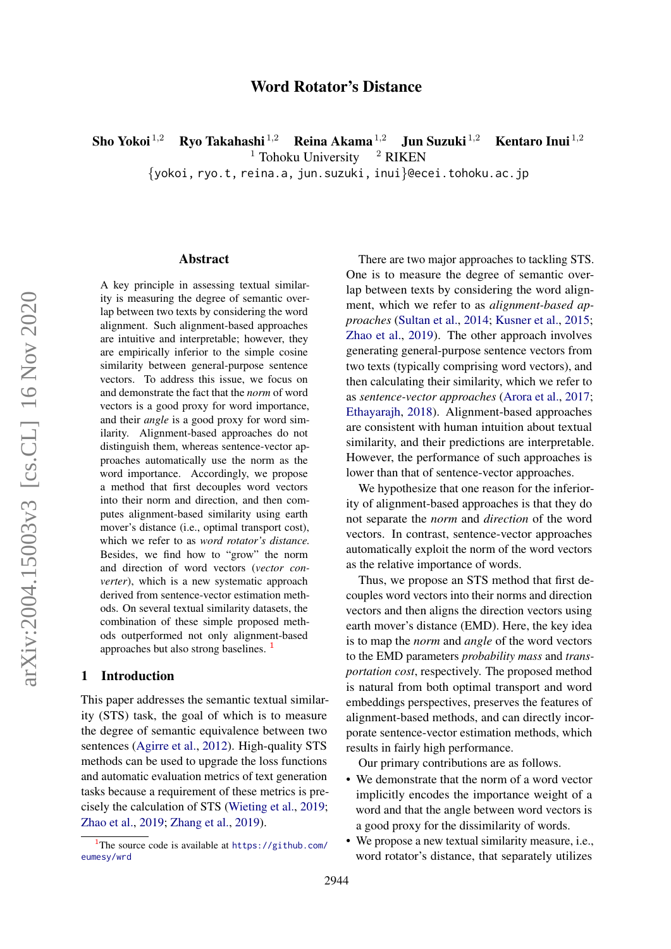# Word Rotator's Distance

Sho Yokoi <sup>1,2</sup> Ryo Takahashi <sup>1,2</sup> Reina Akama <sup>1,2</sup> Jun Suzuki <sup>1,2</sup> Kentaro Inui <sup>1,2</sup> Tohoku University <sup>2</sup> RIKEN  $1$  Tohoku University

{yokoi, ryo.t, reina.a, jun.suzuki, inui}@ecei.tohoku.ac.jp

#### Abstract

A key principle in assessing textual similarity is measuring the degree of semantic overlap between two texts by considering the word alignment. Such alignment-based approaches are intuitive and interpretable; however, they are empirically inferior to the simple cosine similarity between general-purpose sentence vectors. To address this issue, we focus on and demonstrate the fact that the *norm* of word vectors is a good proxy for word importance, and their *angle* is a good proxy for word similarity. Alignment-based approaches do not distinguish them, whereas sentence-vector approaches automatically use the norm as the word importance. Accordingly, we propose a method that first decouples word vectors into their norm and direction, and then computes alignment-based similarity using earth mover's distance (i.e., optimal transport cost), which we refer to as *word rotator's distance.* Besides, we find how to "grow" the norm and direction of word vectors (*vector converter*), which is a new systematic approach derived from sentence-vector estimation methods. On several textual similarity datasets, the combination of these simple proposed methods outperformed not only alignment-based approaches but also strong baselines. [1](#page-0-0)

#### 1 Introduction

This paper addresses the semantic textual similarity (STS) task, the goal of which is to measure the degree of semantic equivalence between two sentences [\(Agirre et al.,](#page-9-0) [2012\)](#page-9-0). High-quality STS methods can be used to upgrade the loss functions and automatic evaluation metrics of text generation tasks because a requirement of these metrics is precisely the calculation of STS [\(Wieting et al.,](#page-11-0) [2019;](#page-11-0) [Zhao et al.,](#page-11-1) [2019;](#page-11-1) [Zhang et al.,](#page-11-2) [2019\)](#page-11-2).

There are two major approaches to tackling STS. One is to measure the degree of semantic overlap between texts by considering the word alignment, which we refer to as *alignment-based approaches* [\(Sultan et al.,](#page-10-0) [2014;](#page-10-0) [Kusner et al.,](#page-10-1) [2015;](#page-10-1) [Zhao et al.,](#page-11-1) [2019\)](#page-11-1). The other approach involves generating general-purpose sentence vectors from two texts (typically comprising word vectors), and then calculating their similarity, which we refer to as *sentence-vector approaches* [\(Arora et al.,](#page-9-1) [2017;](#page-9-1) [Ethayarajh,](#page-9-2) [2018\)](#page-9-2). Alignment-based approaches are consistent with human intuition about textual similarity, and their predictions are interpretable. However, the performance of such approaches is lower than that of sentence-vector approaches.

We hypothesize that one reason for the inferiority of alignment-based approaches is that they do not separate the *norm* and *direction* of the word vectors. In contrast, sentence-vector approaches automatically exploit the norm of the word vectors as the relative importance of words.

Thus, we propose an STS method that first decouples word vectors into their norms and direction vectors and then aligns the direction vectors using earth mover's distance (EMD). Here, the key idea is to map the *norm* and *angle* of the word vectors to the EMD parameters *probability mass* and *transportation cost*, respectively. The proposed method is natural from both optimal transport and word embeddings perspectives, preserves the features of alignment-based methods, and can directly incorporate sentence-vector estimation methods, which results in fairly high performance.

Our primary contributions are as follows.

- We demonstrate that the norm of a word vector implicitly encodes the importance weight of a word and that the angle between word vectors is a good proxy for the dissimilarity of words.
- We propose a new textual similarity measure, i.e., word rotator's distance, that separately utilizes

<span id="page-0-0"></span><sup>&</sup>lt;sup>1</sup>The source code is available at  $https://github.com/$ [eumesy/wrd](https://github.com/eumesy/wrd)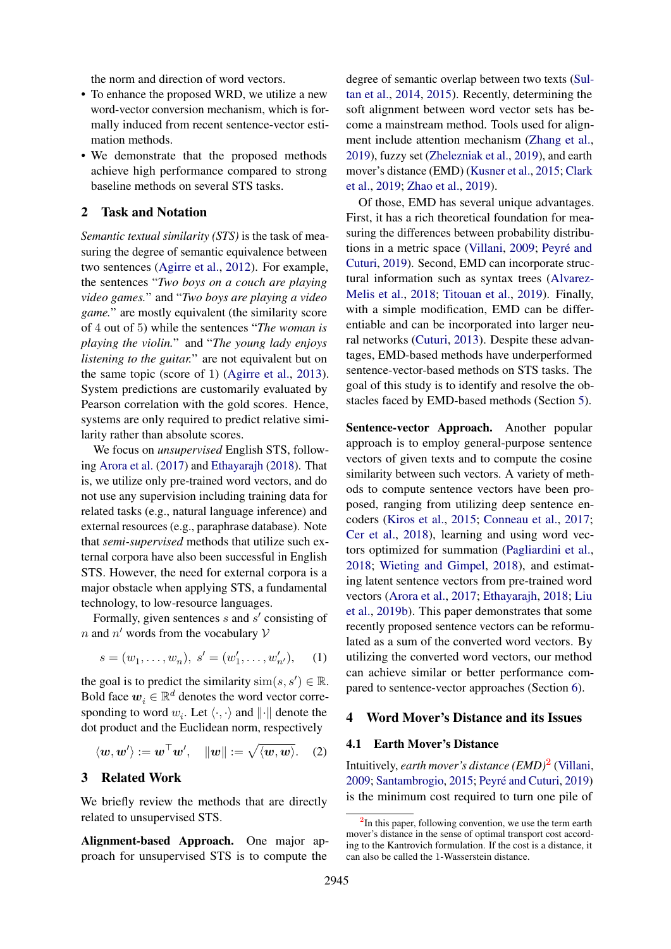the norm and direction of word vectors.

- To enhance the proposed WRD, we utilize a new word-vector conversion mechanism, which is formally induced from recent sentence-vector estimation methods.
- We demonstrate that the proposed methods achieve high performance compared to strong baseline methods on several STS tasks.

### 2 Task and Notation

*Semantic textual similarity (STS)* is the task of measuring the degree of semantic equivalence between two sentences [\(Agirre et al.,](#page-9-0) [2012\)](#page-9-0). For example, the sentences "*Two boys on a couch are playing video games.*" and "*Two boys are playing a video game.*" are mostly equivalent (the similarity score of 4 out of 5) while the sentences "*The woman is playing the violin.*" and "*The young lady enjoys listening to the guitar.*" are not equivalent but on the same topic (score of 1) [\(Agirre et al.,](#page-9-3) [2013\)](#page-9-3). System predictions are customarily evaluated by Pearson correlation with the gold scores. Hence, systems are only required to predict relative similarity rather than absolute scores.

We focus on *unsupervised* English STS, following [Arora et al.](#page-9-1) [\(2017\)](#page-9-1) and [Ethayarajh](#page-9-2) [\(2018\)](#page-9-2). That is, we utilize only pre-trained word vectors, and do not use any supervision including training data for related tasks (e.g., natural language inference) and external resources (e.g., paraphrase database). Note that *semi-supervised* methods that utilize such external corpora have also been successful in English STS. However, the need for external corpora is a major obstacle when applying STS, a fundamental technology, to low-resource languages.

Formally, given sentences  $s$  and  $s'$  consisting of *n* and *n'* words from the vocabulary  $\mathcal V$ 

$$
s = (w_1, \dots, w_n), \ s' = (w'_1, \dots, w'_{n'}), \quad (1)
$$

the goal is to predict the similarity  $\text{sim}(s, s') \in \mathbb{R}$ . Bold face  $\boldsymbol{w}_i \in \mathbb{R}^d$  denotes the word vector corresponding to word  $w_i$ . Let  $\langle \cdot, \cdot \rangle$  and  $\|\cdot\|$  denote the dot product and the Euclidean norm, respectively

$$
\langle \boldsymbol{w}, \boldsymbol{w}' \rangle := \boldsymbol{w}^\top \boldsymbol{w}', \quad ||\boldsymbol{w}|| := \sqrt{\langle \boldsymbol{w}, \boldsymbol{w} \rangle}. \quad (2)
$$

#### 3 Related Work

We briefly review the methods that are directly related to unsupervised STS.

Alignment-based Approach. One major approach for unsupervised STS is to compute the

degree of semantic overlap between two texts [\(Sul](#page-10-0)[tan et al.,](#page-10-0) [2014,](#page-10-0) [2015\)](#page-10-2). Recently, determining the soft alignment between word vector sets has become a mainstream method. Tools used for alignment include attention mechanism [\(Zhang et al.,](#page-11-2) [2019\)](#page-11-2), fuzzy set [\(Zhelezniak et al.,](#page-11-3) [2019\)](#page-11-3), and earth mover's distance (EMD) [\(Kusner et al.,](#page-10-1) [2015;](#page-10-1) [Clark](#page-9-4) [et al.,](#page-9-4) [2019;](#page-9-4) [Zhao et al.,](#page-11-1) [2019\)](#page-11-1).

Of those, EMD has several unique advantages. First, it has a rich theoretical foundation for measuring the differences between probability distribu-tions in a metric space [\(Villani,](#page-10-3) [2009;](#page-10-3) Peyré and [Cuturi,](#page-10-4) [2019\)](#page-10-4). Second, EMD can incorporate structural information such as syntax trees [\(Alvarez-](#page-9-5)[Melis et al.,](#page-9-5) [2018;](#page-9-5) [Titouan et al.,](#page-10-5) [2019\)](#page-10-5). Finally, with a simple modification, EMD can be differentiable and can be incorporated into larger neural networks [\(Cuturi,](#page-9-6) [2013\)](#page-9-6). Despite these advantages, EMD-based methods have underperformed sentence-vector-based methods on STS tasks. The goal of this study is to identify and resolve the obstacles faced by EMD-based methods (Section [5\)](#page-2-0).

Sentence-vector Approach. Another popular approach is to employ general-purpose sentence vectors of given texts and to compute the cosine similarity between such vectors. A variety of methods to compute sentence vectors have been proposed, ranging from utilizing deep sentence encoders [\(Kiros et al.,](#page-10-6) [2015;](#page-10-6) [Conneau et al.,](#page-9-7) [2017;](#page-9-7) [Cer et al.,](#page-9-8) [2018\)](#page-9-8), learning and using word vectors optimized for summation [\(Pagliardini et al.,](#page-10-7) [2018;](#page-10-7) [Wieting and Gimpel,](#page-11-4) [2018\)](#page-11-4), and estimating latent sentence vectors from pre-trained word vectors [\(Arora et al.,](#page-9-1) [2017;](#page-9-1) [Ethayarajh,](#page-9-2) [2018;](#page-9-2) [Liu](#page-10-8) [et al.,](#page-10-8) [2019b\)](#page-10-8). This paper demonstrates that some recently proposed sentence vectors can be reformulated as a sum of the converted word vectors. By utilizing the converted word vectors, our method can achieve similar or better performance compared to sentence-vector approaches (Section [6\)](#page-4-0).

#### 4 Word Mover's Distance and its Issues

#### 4.1 Earth Mover's Distance

Intuitively, *earth mover's distance (EMD)*[2](#page-1-0) [\(Villani,](#page-10-3) [2009;](#page-10-3) [Santambrogio,](#page-10-9) [2015;](#page-10-9) Peyré and Cuturi, [2019\)](#page-10-4) is the minimum cost required to turn one pile of

<span id="page-1-0"></span><sup>&</sup>lt;sup>2</sup>In this paper, following convention, we use the term earth mover's distance in the sense of optimal transport cost according to the Kantrovich formulation. If the cost is a distance, it can also be called the 1-Wasserstein distance.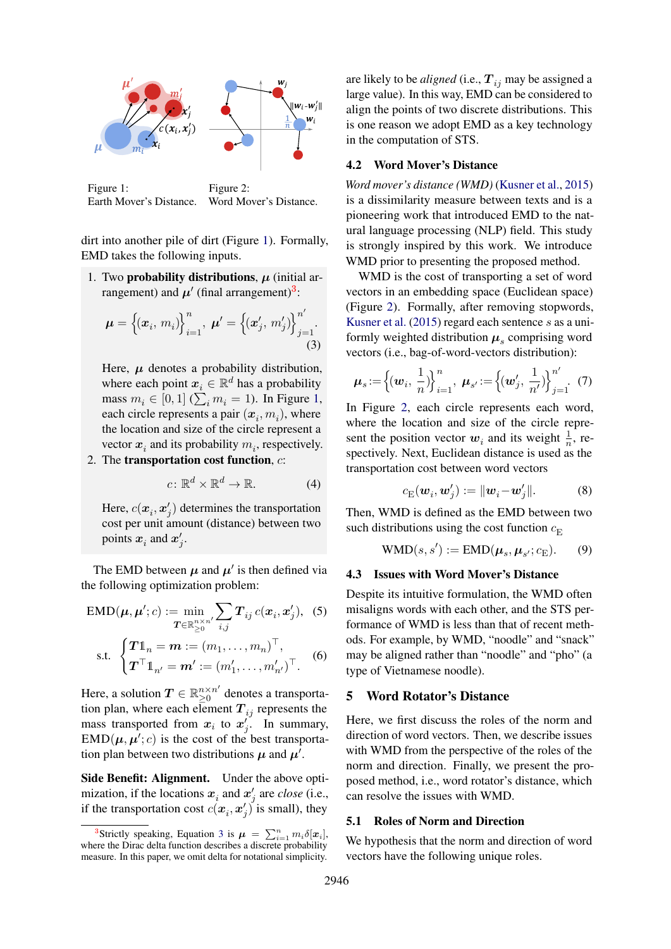<span id="page-2-1"></span>

Figure 1: Earth Mover's Distance. Figure 2: Word Mover's Distance.

dirt into another pile of dirt (Figure [1\)](#page-2-1). Formally, EMD takes the following inputs.

1. Two probability distributions,  $\mu$  (initial arrangement) and  $\mu'$  (final arrangement)<sup>[3](#page-2-2)</sup>:

$$
\boldsymbol{\mu} = \left\{ (\boldsymbol{x}_i, m_i) \right\}_{i=1}^n, \ \boldsymbol{\mu}' = \left\{ (\boldsymbol{x}'_j, m'_j) \right\}_{j=1}^{n'}.
$$
\n(3)

Here,  $\mu$  denotes a probability distribution, where each point  $x_i \in \mathbb{R}^d$  has a probability mass  $m_i \in [0,1]$  ( $\sum_i m_i = 1$ ). In Figure [1,](#page-2-1) each circle represents a pair  $(x_i, m_i)$ , where the location and size of the circle represent a vector  $x_i$  and its probability  $m_i$ , respectively.

2. The transportation cost function,  $c$ :

$$
c \colon \mathbb{R}^d \times \mathbb{R}^d \to \mathbb{R}.\tag{4}
$$

Here,  $c(\mathbf{x}_i, \mathbf{x}'_j)$  determines the transportation cost per unit amount (distance) between two points  $x_i$  and  $x'_j$ .

The EMD between  $\mu$  and  $\mu'$  is then defined via the following optimization problem:

$$
EMD(\boldsymbol{\mu}, \boldsymbol{\mu}'; c) := \min_{\boldsymbol{T} \in \mathbb{R}_{\geq 0}^{n \times n'}} \sum_{i,j} \boldsymbol{T}_{ij} c(\boldsymbol{x}_i, \boldsymbol{x}_j'), \quad (5)
$$

$$
\text{s.t. } \begin{cases} \boldsymbol{T} \mathbf{1}_n = \boldsymbol{m} := (m_1, \dots, m_n)^\top, \\ \boldsymbol{T}^\top \mathbf{1}_{n'} = \boldsymbol{m'} := (m'_1, \dots, m'_{n'})^\top. \end{cases} \tag{6}
$$

Here, a solution  $\mathbf{T} \in \mathbb{R}_{\geq 0}^{n \times n'}$  $_{\geq 0}^{n \times n'}$  denotes a transportation plan, where each element  $T_{ij}$  represents the mass transported from  $x_i$  to  $x'_j$ . In summary,  $\text{EMD}(\mu, \mu'; c)$  is the cost of the best transportation plan between two distributions  $\mu$  and  $\mu'$ .

Side Benefit: Alignment. Under the above optimization, if the locations  $x_i$  and  $x'_j$  are *close* (i.e., if the transportation cost  $c(\mathbf{x}_i, \mathbf{x}'_j)$  is small), they

are likely to be *aligned* (i.e.,  $T_{ij}$  may be assigned a large value). In this way, EMD can be considered to align the points of two discrete distributions. This is one reason we adopt EMD as a key technology in the computation of STS.

#### 4.2 Word Mover's Distance

*Word mover's distance (WMD)* [\(Kusner et al.,](#page-10-1) [2015\)](#page-10-1) is a dissimilarity measure between texts and is a pioneering work that introduced EMD to the natural language processing (NLP) field. This study is strongly inspired by this work. We introduce WMD prior to presenting the proposed method.

WMD is the cost of transporting a set of word vectors in an embedding space (Euclidean space) (Figure [2\)](#page-2-1). Formally, after removing stopwords, [Kusner et al.](#page-10-1) [\(2015\)](#page-10-1) regard each sentence s as a uniformly weighted distribution  $\mu_s$  comprising word vectors (i.e., bag-of-word-vectors distribution):

<span id="page-2-3"></span>
$$
\mu_s := \left\{ (\boldsymbol{w}_i, \, \frac{1}{n}) \right\}_{i=1}^n, \, \, \mu_{s'} := \left\{ (\boldsymbol{w}'_j, \, \frac{1}{n'}) \right\}_{j=1}^{n'}.
$$
 (7)

In Figure [2,](#page-2-1) each circle represents each word, where the location and size of the circle represent the position vector  $w_i$  and its weight  $\frac{1}{n}$ , respectively. Next, Euclidean distance is used as the transportation cost between word vectors

<span id="page-2-6"></span><span id="page-2-4"></span>
$$
c_{\mathcal{E}}(\boldsymbol{w}_i, \boldsymbol{w}'_j) := \|\boldsymbol{w}_i - \boldsymbol{w}'_j\|.\tag{8}
$$

<span id="page-2-5"></span>Then, WMD is defined as the EMD between two such distributions using the cost function  $c_{\rm E}$ 

$$
WMD(s, s') := EMD(\boldsymbol{\mu}_s, \boldsymbol{\mu}_{s'}; c_E). \qquad (9)
$$

## <span id="page-2-7"></span>4.3 Issues with Word Mover's Distance

Despite its intuitive formulation, the WMD often misaligns words with each other, and the STS performance of WMD is less than that of recent methods. For example, by WMD, "noodle" and "snack" may be aligned rather than "noodle" and "pho" (a type of Vietnamese noodle).

## <span id="page-2-0"></span>5 Word Rotator's Distance

Here, we first discuss the roles of the norm and direction of word vectors. Then, we describe issues with WMD from the perspective of the roles of the norm and direction. Finally, we present the proposed method, i.e., word rotator's distance, which can resolve the issues with WMD.

## 5.1 Roles of Norm and Direction

We hypothesis that the norm and direction of word vectors have the following unique roles.

<span id="page-2-2"></span><sup>&</sup>lt;sup>[3](#page-2-3)</sup>Strictly speaking, Equation 3 is  $\mu = \sum_{i=1}^n m_i \delta[x_i]$ , where the Dirac delta function describes a discrete probability measure. In this paper, we omit delta for notational simplicity.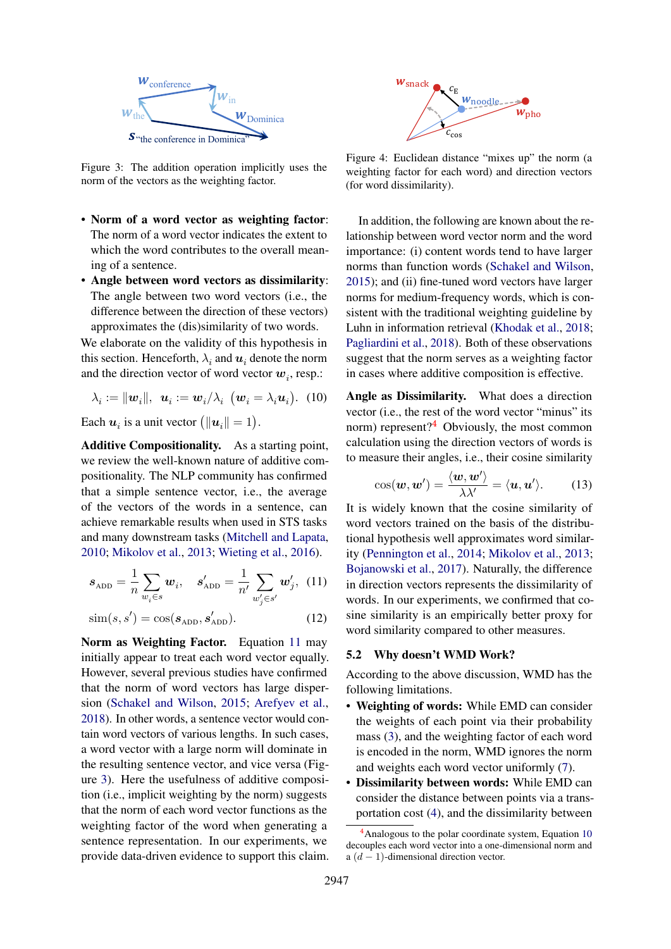

Figure 3: The addition operation implicitly uses the norm of the vectors as the weighting factor.

- Norm of a word vector as weighting factor: The norm of a word vector indicates the extent to which the word contributes to the overall meaning of a sentence.
- Angle between word vectors as dissimilarity: The angle between two word vectors (i.e., the difference between the direction of these vectors) approximates the (dis)similarity of two words.

We elaborate on the validity of this hypothesis in this section. Henceforth,  $\lambda_i$  and  $\boldsymbol{u}_i$  denote the norm and the direction vector of word vector  $w_i$ , resp.:

$$
\lambda_i := ||\boldsymbol{w}_i||, \ \boldsymbol{u}_i := \boldsymbol{w}_i/\lambda_i \ (\boldsymbol{w}_i = \lambda_i \boldsymbol{u}_i). \ (10)
$$

Each  $u_i$  is a unit vector  $(||u_i|| = 1)$ .

Additive Compositionality. As a starting point, we review the well-known nature of additive compositionality. The NLP community has confirmed that a simple sentence vector, i.e., the average of the vectors of the words in a sentence, can achieve remarkable results when used in STS tasks and many downstream tasks [\(Mitchell and Lapata,](#page-10-10) [2010;](#page-10-10) [Mikolov et al.,](#page-10-11) [2013;](#page-10-11) [Wieting et al.,](#page-10-12) [2016\)](#page-10-12).

$$
s_{\text{ADD}} = \frac{1}{n} \sum_{w_i \in s} w_i, \quad s'_{\text{ADD}} = \frac{1}{n'} \sum_{w'_j \in s'} w'_j, \quad (11)
$$

$$
\text{sim}(s, s') = \cos(s_{\text{ADD}}, s'_{\text{ADD}}). \tag{12}
$$

<span id="page-3-1"></span>Norm as Weighting Factor. Equation [11](#page-3-0) may initially appear to treat each word vector equally. However, several previous studies have confirmed that the norm of word vectors has large dispersion [\(Schakel and Wilson,](#page-10-13) [2015;](#page-10-13) [Arefyev et al.,](#page-9-9) [2018\)](#page-9-9). In other words, a sentence vector would contain word vectors of various lengths. In such cases, a word vector with a large norm will dominate in the resulting sentence vector, and vice versa (Figure [3\)](#page-3-1). Here the usefulness of additive composition (i.e., implicit weighting by the norm) suggests that the norm of each word vector functions as the weighting factor of the word when generating a sentence representation. In our experiments, we **Example 19**<br>
Figure 3. The conference in Dominics<br>
Figure 3. The conference in Dominics<br>
Figure 4. Facebook constraints in the control of the control of the control of the control of the control of the support of the con

<span id="page-3-4"></span>

Figure 4: Euclidean distance "mixes up" the norm (a weighting factor for each word) and direction vectors (for word dissimilarity).

In addition, the following are known about the relationship between word vector norm and the word importance: (i) content words tend to have larger norms than function words [\(Schakel and Wilson,](#page-10-13) [2015\)](#page-10-13); and (ii) fine-tuned word vectors have larger norms for medium-frequency words, which is consistent with the traditional weighting guideline by Luhn in information retrieval [\(Khodak et al.,](#page-10-14) [2018;](#page-10-14) [Pagliardini et al.,](#page-10-7) [2018\)](#page-10-7). Both of these observations suggest that the norm serves as a weighting factor in cases where additive composition is effective.

<span id="page-3-3"></span>Angle as Dissimilarity. What does a direction vector (i.e., the rest of the word vector "minus" its norm) represent? $4$  Obviously, the most common calculation using the direction vectors of words is to measure their angles, i.e., their cosine similarity

$$
\cos(\boldsymbol{w},\boldsymbol{w}') = \frac{\langle \boldsymbol{w}, \boldsymbol{w}' \rangle}{\lambda \lambda'} = \langle \boldsymbol{u}, \boldsymbol{u}' \rangle. \tag{13}
$$

<span id="page-3-0"></span>It is widely known that the cosine similarity of word vectors trained on the basis of the distributional hypothesis well approximates word similarity [\(Pennington et al.,](#page-10-15) [2014;](#page-10-15) [Mikolov et al.,](#page-10-11) [2013;](#page-10-11) [Bojanowski et al.,](#page-9-10) [2017\)](#page-9-10). Naturally, the difference in direction vectors represents the dissimilarity of words. In our experiments, we confirmed that cosine similarity is an empirically better proxy for word similarity compared to other measures.

### <span id="page-3-5"></span>5.2 Why doesn't WMD Work?

According to the above discussion, WMD has the following limitations.

- Weighting of words: While EMD can consider the weights of each point via their probability mass [\(3\)](#page-2-3), and the weighting factor of each word is encoded in the norm, WMD ignores the norm and weights each word vector uniformly [\(7\)](#page-2-4).
- Dissimilarity between words: While EMD can consider the distance between points via a transportation cost [\(4\)](#page-2-5), and the dissimilarity between

<span id="page-3-2"></span> $4$ Analogous to the polar coordinate system, Equation [10](#page-3-3) decouples each word vector into a one-dimensional norm and a  $(d-1)$ -dimensional direction vector.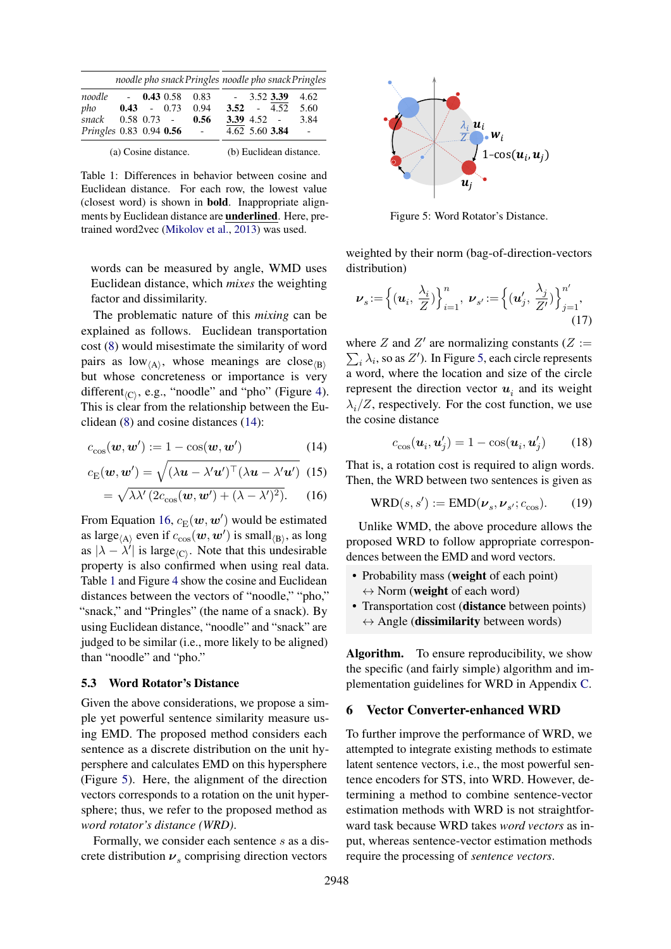<span id="page-4-3"></span>

|                         |                      |               |         | noodle pho snack Pringles noodle pho snack Pringles |                |                  |         |                         |
|-------------------------|----------------------|---------------|---------|-----------------------------------------------------|----------------|------------------|---------|-------------------------|
| noodle                  |                      | $-$ 0.43 0.58 |         | 0.83                                                | $\sim 10^{-1}$ | 3.52 3.39        |         | 4.62                    |
| pho                     | 0.43                 |               | $-0.73$ | 0.94                                                | 3.52           |                  | $-4.52$ | 5.60                    |
| snack                   |                      | $0.58$ 0.73 - |         | 0.56                                                |                | <b>3.39</b> 4.52 |         | 3.84                    |
| Pringles 0.83 0.94 0.56 |                      |               |         | $\sim$                                              |                | 4.62 5.60 3.84   |         |                         |
|                         | (a) Cosine distance. |               |         |                                                     |                |                  |         | (b) Euclidean distance. |

Table 1: Differences in behavior between cosine and Euclidean distance. For each row, the lowest value (closest word) is shown in bold. Inappropriate alignments by Euclidean distance are underlined. Here, pretrained word2vec [\(Mikolov et al.,](#page-10-11) [2013\)](#page-10-11) was used.

words can be measured by angle, WMD uses Euclidean distance, which *mixes* the weighting factor and dissimilarity.

The problematic nature of this *mixing* can be explained as follows. Euclidean transportation cost [\(8\)](#page-2-6) would misestimate the similarity of word pairs as  $low_{\langle A \rangle}$ , whose meanings are close $_{\langle B \rangle}$ but whose concreteness or importance is very different<sub> $\langle C \rangle$ </sub>, e.g., "noodle" and "pho" (Figure [4\)](#page-3-4). This is clear from the relationship between the Euclidean [\(8\)](#page-2-6) and cosine distances [\(14\)](#page-4-1):

$$
c_{\cos}(\boldsymbol{w}, \boldsymbol{w}') := 1 - \cos(\boldsymbol{w}, \boldsymbol{w}') \tag{14}
$$

$$
c_{\mathcal{E}}(\boldsymbol{w}, \boldsymbol{w}') = \sqrt{(\lambda \boldsymbol{u} - \lambda' \boldsymbol{u}')^{\top} (\lambda \boldsymbol{u} - \lambda' \boldsymbol{u}')}
$$
 (15)

$$
= \sqrt{\lambda \lambda' (2c_{\cos}(\boldsymbol{w}, \boldsymbol{w}') + (\lambda - \lambda')^2)}.
$$
 (16)

From Equation [16,](#page-4-2)  $c_{\text{E}}(\boldsymbol{w},\boldsymbol{w}')$  would be estimated as large<sub> $\langle A \rangle$ </sub> even if  $c_{\cos}(\boldsymbol{w}, \boldsymbol{w}')$  is small $\langle B \rangle$ , as long as  $|\lambda - \lambda'|$  is large<sub> $\langle C \rangle$ </sub>. Note that this undesirable property is also confirmed when using real data. Table [1](#page-4-3) and Figure [4](#page-3-4) show the cosine and Euclidean distances between the vectors of "noodle," "pho," "snack," and "Pringles" (the name of a snack). By using Euclidean distance, "noodle" and "snack" are judged to be similar (i.e., more likely to be aligned) than "noodle" and "pho."

#### 5.3 Word Rotator's Distance

Given the above considerations, we propose a simple yet powerful sentence similarity measure using EMD. The proposed method considers each sentence as a discrete distribution on the unit hypersphere and calculates EMD on this hypersphere (Figure [5\)](#page-4-4). Here, the alignment of the direction vectors corresponds to a rotation on the unit hypersphere; thus, we refer to the proposed method as *word rotator's distance (WRD)*.

Formally, we consider each sentence s as a discrete distribution  $v_s$  comprising direction vectors

<span id="page-4-4"></span>

Figure 5: Word Rotator's Distance.

weighted by their norm (bag-of-direction-vectors distribution)

$$
\boldsymbol{\nu}_s := \left\{ (\boldsymbol{u}_i, \frac{\lambda_i}{Z}) \right\}_{i=1}^n, \ \boldsymbol{\nu}_{s'} := \left\{ (\boldsymbol{u}'_j, \frac{\lambda_j}{Z'}) \right\}_{j=1}^n, \tag{17}
$$

where Z and Z' are normalizing constants ( $Z :=$  $\sum_i \lambda_i$ , so as Z'). In Figure [5,](#page-4-4) each circle represents a word, where the location and size of the circle represent the direction vector  $u_i$  and its weight  $\lambda_i/Z$ , respectively. For the cost function, we use the cosine distance

<span id="page-4-5"></span>
$$
c_{\cos}(\mathbf{u}_i, \mathbf{u}'_j) = 1 - \cos(\mathbf{u}_i, \mathbf{u}'_j) \qquad (18)
$$

<span id="page-4-2"></span><span id="page-4-1"></span>That is, a rotation cost is required to align words. Then, the WRD between two sentences is given as

$$
WRD(s, s') := EMD(\nu_s, \nu_{s'}; c_{\cos}).
$$
 (19)

Unlike WMD, the above procedure allows the proposed WRD to follow appropriate correspondences between the EMD and word vectors.

- Probability mass (weight of each point)  $\leftrightarrow$  Norm (weight of each word)
- Transportation cost (distance between points)  $\leftrightarrow$  Angle (dissimilarity between words)

Algorithm. To ensure reproducibility, we show the specific (and fairly simple) algorithm and implementation guidelines for WRD in Appendix [C.](#page-12-0)

### <span id="page-4-0"></span>6 Vector Converter-enhanced WRD

To further improve the performance of WRD, we attempted to integrate existing methods to estimate latent sentence vectors, i.e., the most powerful sentence encoders for STS, into WRD. However, determining a method to combine sentence-vector estimation methods with WRD is not straightforward task because WRD takes *word vectors* as input, whereas sentence-vector estimation methods require the processing of *sentence vectors*.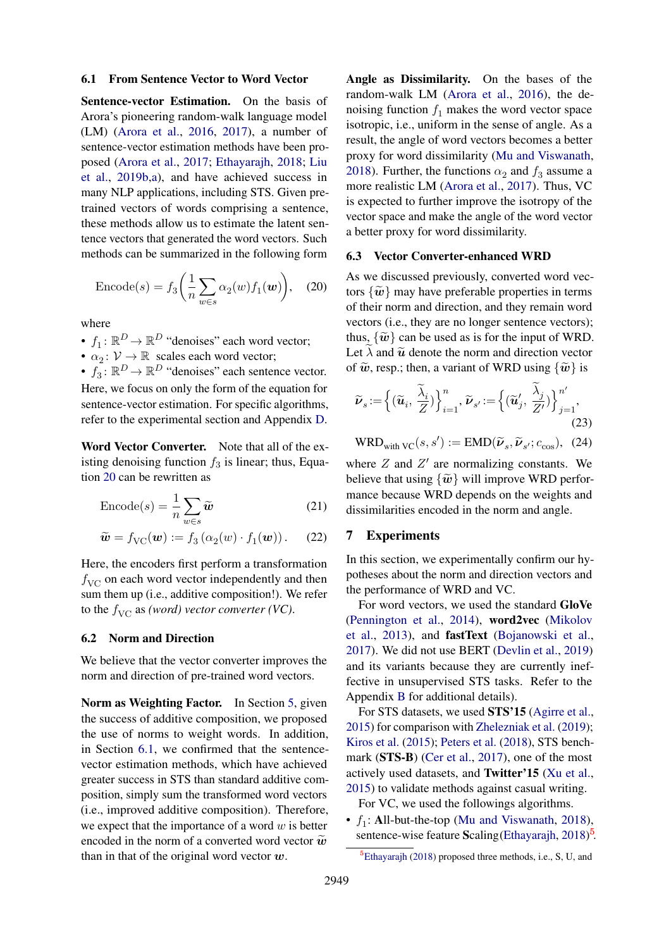#### <span id="page-5-1"></span>6.1 From Sentence Vector to Word Vector

Sentence-vector Estimation. On the basis of Arora's pioneering random-walk language model (LM) [\(Arora et al.,](#page-9-11) [2016,](#page-9-11) [2017\)](#page-9-1), a number of sentence-vector estimation methods have been proposed [\(Arora et al.,](#page-9-1) [2017;](#page-9-1) [Ethayarajh,](#page-9-2) [2018;](#page-9-2) [Liu](#page-10-8) [et al.,](#page-10-8) [2019b,](#page-10-8)[a\)](#page-10-16), and have achieved success in many NLP applications, including STS. Given pretrained vectors of words comprising a sentence, these methods allow us to estimate the latent sentence vectors that generated the word vectors. Such methods can be summarized in the following form

$$
\text{Encode}(s) = f_3\bigg(\frac{1}{n}\sum_{w\in s}\alpha_2(w)f_1(w)\bigg),\quad(20)
$$

where

- $f_1: \mathbb{R}^D \to \mathbb{R}^D$  "denoises" each word vector;
- $\alpha_2 : \mathcal{V} \to \mathbb{R}$  scales each word vector;

•  $f_3$ :  $\mathbb{R}^D \to \mathbb{R}^D$  "denoises" each sentence vector. Here, we focus on only the form of the equation for sentence-vector estimation. For specific algorithms, refer to the experimental section and Appendix [D.](#page-12-1)

Word Vector Converter. Note that all of the existing denoising function  $f_3$  is linear; thus, Equation [20](#page-5-0) can be rewritten as

$$
\text{Encode}(s) = \frac{1}{n} \sum_{w \in s} \widetilde{w} \tag{21}
$$

$$
\widetilde{\boldsymbol{w}} = f_{\text{VC}}(\boldsymbol{w}) := f_3\left(\alpha_2(w) \cdot f_1(\boldsymbol{w})\right). \tag{22}
$$

Here, the encoders first perform a transformation  $f_{\text{VC}}$  on each word vector independently and then sum them up (i.e., additive composition!). We refer to the  $f_{\text{VC}}$  as *(word) vector converter (VC)*.

### 6.2 Norm and Direction

We believe that the vector converter improves the norm and direction of pre-trained word vectors.

Norm as Weighting Factor. In Section [5,](#page-2-0) given the success of additive composition, we proposed the use of norms to weight words. In addition, in Section [6.1,](#page-5-1) we confirmed that the sentencevector estimation methods, which have achieved greater success in STS than standard additive composition, simply sum the transformed word vectors (i.e., improved additive composition). Therefore, we expect that the importance of a word  $w$  is better encoded in the norm of a converted word vector  $\tilde{\boldsymbol{w}}$ than in that of the original word vector  $w$ .

Angle as Dissimilarity. On the bases of the random-walk LM [\(Arora et al.,](#page-9-11) [2016\)](#page-9-11), the denoising function  $f_1$  makes the word vector space isotropic, i.e., uniform in the sense of angle. As a result, the angle of word vectors becomes a better proxy for word dissimilarity [\(Mu and Viswanath,](#page-10-17) [2018\)](#page-10-17). Further, the functions  $\alpha_2$  and  $f_3$  assume a more realistic LM [\(Arora et al.,](#page-9-1) [2017\)](#page-9-1). Thus, VC is expected to further improve the isotropy of the vector space and make the angle of the word vector a better proxy for word dissimilarity.

#### 6.3 Vector Converter-enhanced WRD

<span id="page-5-0"></span>As we discussed previously, converted word vectors  $\{\tilde{\boldsymbol{w}}\}$  may have preferable properties in terms of their norm and direction, and they remain word vectors (i.e., they are no longer sentence vectors); thus,  $\{\tilde{\boldsymbol{w}}\}$  can be used as is for the input of WRD. Let  $\lambda$  and  $\tilde{u}$  denote the norm and direction vector of  $\tilde{w}$ , resp.; then, a variant of WRD using  $\{\tilde{w}\}\$ is

$$
\widetilde{\nu}_s := \left\{ (\widetilde{u}_i, \frac{\widetilde{\lambda}_i}{Z}) \right\}_{i=1}^n, \widetilde{\nu}_{s'} := \left\{ (\widetilde{u}'_j, \frac{\widetilde{\lambda}_j}{Z'} ) \right\}_{j=1}^{n'}.
$$
\n(23)

$$
\text{WRD}_{\text{with VC}}(s, s') := \text{EMD}(\widetilde{\nu}_s, \widetilde{\nu}_{s'}; c_{\text{cos}}), \tag{24}
$$

where  $Z$  and  $Z'$  are normalizing constants. We believe that using  $\{\tilde{\boldsymbol{w}}\}$  will improve WRD performance because WRD depends on the weights and dissimilarities encoded in the norm and angle.

#### <span id="page-5-3"></span>7 Experiments

In this section, we experimentally confirm our hypotheses about the norm and direction vectors and the performance of WRD and VC.

For word vectors, we used the standard GloVe [\(Pennington et al.,](#page-10-15) [2014\)](#page-10-15), word2vec [\(Mikolov](#page-10-11) [et al.,](#page-10-11) [2013\)](#page-10-11), and fastText [\(Bojanowski et al.,](#page-9-10) [2017\)](#page-9-10). We did not use BERT [\(Devlin et al.,](#page-9-12) [2019\)](#page-9-12) and its variants because they are currently ineffective in unsupervised STS tasks. Refer to the Appendix [B](#page-12-2) for additional details).

For STS datasets, we used STS'15 [\(Agirre et al.,](#page-9-13) [2015\)](#page-9-13) for comparison with [Zhelezniak et al.](#page-11-3) [\(2019\)](#page-11-3); [Kiros et al.](#page-10-6) [\(2015\)](#page-10-6); [Peters et al.](#page-10-18) [\(2018\)](#page-10-18), STS bench-mark (STS-B) [\(Cer et al.,](#page-9-14) [2017\)](#page-9-14), one of the most actively used datasets, and Twitter'15 [\(Xu et al.,](#page-11-5) [2015\)](#page-11-5) to validate methods against casual writing.

For VC, we used the followings algorithms.

•  $f_1$ : All-but-the-top [\(Mu and Viswanath,](#page-10-17) [2018\)](#page-10-17), sentence-wise feature Scaling [\(Ethayarajh,](#page-9-2) [2018\)](#page-9-2)<sup>[5](#page-5-2)</sup>.

<span id="page-5-2"></span> ${}^{5}$ [Ethayarajh](#page-9-2) [\(2018\)](#page-9-2) proposed three methods, i.e., S, U, and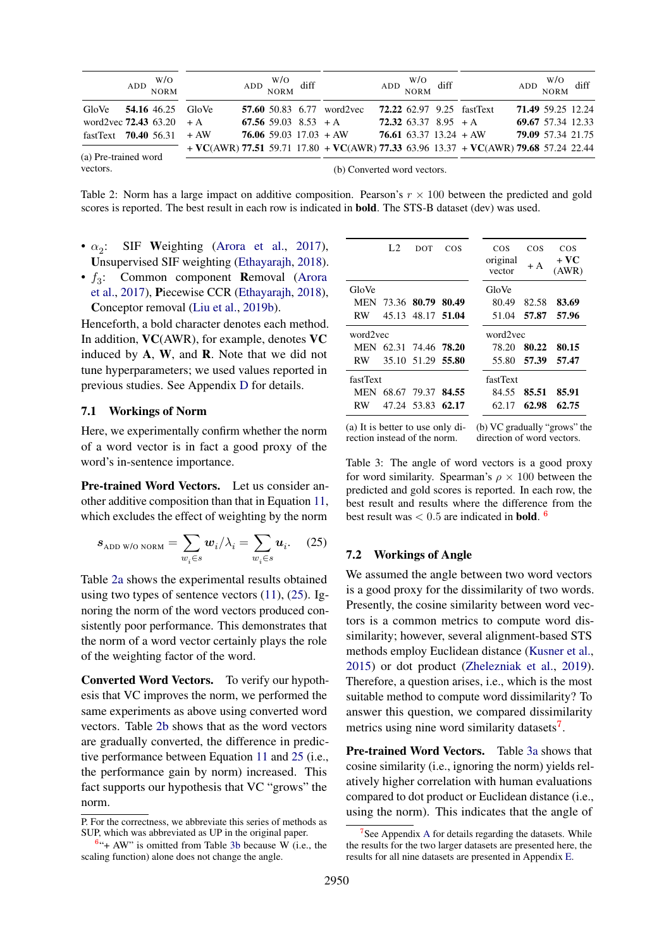<span id="page-6-0"></span>

|                                  |  | $ADD$ $W/O$ NORM |                          | $ADD$ $W/O$ $M$ diff        |                                  | $ADD$ $W/O$ $M$ diff       |                                                                                       | $ADD$ $W/O$ $M$ diff |  |
|----------------------------------|--|------------------|--------------------------|-----------------------------|----------------------------------|----------------------------|---------------------------------------------------------------------------------------|----------------------|--|
| GloVe                            |  |                  | <b>54.16</b> 46.25 GloVe |                             | <b>57.60</b> 50.83 6.77 word2vec |                            | <b>72.22</b> 62.97 9.25 fastText                                                      | 71.49 59.25 12.24    |  |
| word2vec $72.43\,63.20 + A$      |  |                  |                          | 67.56 59.03 8.53 $+A$       |                                  | $72.32\,63.37\,8.95\, + A$ |                                                                                       | 69.67 57.34 12.33    |  |
| fastText $70.40$ 56.31 + AW      |  |                  |                          |                             | 76.06 59.03 $17.03 + AW$         |                            | 76.61 63.37 13.24 + AW                                                                | 79.09 57.34 21.75    |  |
|                                  |  |                  |                          |                             |                                  |                            | $+$ VC(AWR) 77.51 59.71 17.80 + VC(AWR) 77.33 63.96 13.37 + VC(AWR) 79.68 57.24 22.44 |                      |  |
| (a) Pre-trained word<br>vectors. |  |                  |                          | (b) Converted word vectors. |                                  |                            |                                                                                       |                      |  |

Table 2: Norm has a large impact on additive composition. Pearson's  $r \times 100$  between the predicted and gold scores is reported. The best result in each row is indicated in bold. The STS-B dataset (dev) was used.

- $\bullet$   $\alpha_{2}$ : SIF Weighting [\(Arora et al.,](#page-9-1) [2017\)](#page-9-1), Unsupervised SIF weighting [\(Ethayarajh,](#page-9-2) [2018\)](#page-9-2).
- $f_3$ : Common component **R**emoval [\(Arora](#page-9-1) [et al.,](#page-9-1) [2017\)](#page-9-1), Piecewise CCR [\(Ethayarajh,](#page-9-2) [2018\)](#page-9-2), Conceptor removal [\(Liu et al.,](#page-10-8) [2019b\)](#page-10-8).

Henceforth, a bold character denotes each method. In addition, VC(AWR), for example, denotes VC induced by A, W, and R. Note that we did not tune hyperparameters; we used values reported in previous studies. See Appendix [D](#page-12-1) for details.

#### 7.1 Workings of Norm

Here, we experimentally confirm whether the norm of a word vector is in fact a good proxy of the word's in-sentence importance.

Pre-trained Word Vectors. Let us consider another additive composition than that in Equation [11,](#page-3-0) which excludes the effect of weighting by the norm

$$
s_{\text{ADD W/O NORM}} = \sum_{w_i \in s} w_i / \lambda_i = \sum_{w_i \in s} u_i. \quad (25)
$$

Table [2a](#page-6-0) shows the experimental results obtained using two types of sentence vectors  $(11)$ ,  $(25)$ . Ignoring the norm of the word vectors produced consistently poor performance. This demonstrates that the norm of a word vector certainly plays the role of the weighting factor of the word.

Converted Word Vectors. To verify our hypothesis that VC improves the norm, we performed the same experiments as above using converted word vectors. Table [2b](#page-6-0) shows that as the word vectors are gradually converted, the difference in predictive performance between Equation [11](#page-3-0) and [25](#page-6-1) (i.e., the performance gain by norm) increased. This fact supports our hypothesis that VC "grows" the norm.

<span id="page-6-2"></span>

|          | L <sub>2</sub> | DOT                          | COS   | COS<br>original<br>vector | COS<br>+ A | COS<br>+ VC<br>(AWR) |
|----------|----------------|------------------------------|-------|---------------------------|------------|----------------------|
| GloVe    |                |                              |       | GloVe                     |            |                      |
|          |                | MEN 73.36 80.79 80.49        |       | 80.49                     | 82.58      | 83.69                |
| RW       |                | 45.13 48.17 51.04            |       | 51.04                     | 57.87      | 57.96                |
| word2vec |                |                              |       | word2vec                  |            |                      |
|          |                | MEN 62.31 74.46 <b>78.20</b> |       | 78.20                     | 80.22      | 80.15                |
| RW       |                | 35.10 51.29 55.80            |       | 55.80                     | 57.39      | 57.47                |
| fastText |                |                              |       | fastText                  |            |                      |
|          |                | MEN 68.67 79.37              | 84.55 | 84.55                     | 85.51      | 85.91                |
| RW       |                | 47.24 53.83 62.17            |       | 62.17                     | 62.98      | 62.75                |
|          |                |                              |       |                           |            |                      |

(a) It is better to use only di-(b) VC gradually "grows" the rection instead of the norm. direction of word vectors.

Table 3: The angle of word vectors is a good proxy for word similarity. Spearman's  $\rho \times 100$  between the predicted and gold scores is reported. In each row, the best result and results where the difference from the best result was  $< 0.5$  are indicated in **bold**. <sup>[6](#page-6-3)</sup>

#### <span id="page-6-1"></span>7.2 Workings of Angle

We assumed the angle between two word vectors is a good proxy for the dissimilarity of two words. Presently, the cosine similarity between word vectors is a common metrics to compute word dissimilarity; however, several alignment-based STS methods employ Euclidean distance [\(Kusner et al.,](#page-10-1) [2015\)](#page-10-1) or dot product [\(Zhelezniak et al.,](#page-11-3) [2019\)](#page-11-3). Therefore, a question arises, i.e., which is the most suitable method to compute word dissimilarity? To answer this question, we compared dissimilarity metrics using nine word similarity datasets<sup>[7](#page-6-4)</sup>.

Pre-trained Word Vectors. Table [3a](#page-6-2) shows that cosine similarity (i.e., ignoring the norm) yields relatively higher correlation with human evaluations compared to dot product or Euclidean distance (i.e., using the norm). This indicates that the angle of

P. For the correctness, we abbreviate this series of methods as SUP, which was abbreviated as UP in the original paper.

<span id="page-6-3"></span> $6$ <sup>"+</sup> AW" is omitted from Table [3b](#page-6-2) because W (i.e., the scaling function) alone does not change the angle.

<span id="page-6-4"></span><sup>7</sup> See Appendix [A](#page-11-6) for details regarding the datasets. While the results for the two larger datasets are presented here, the results for all nine datasets are presented in Appendix [E.](#page-13-0)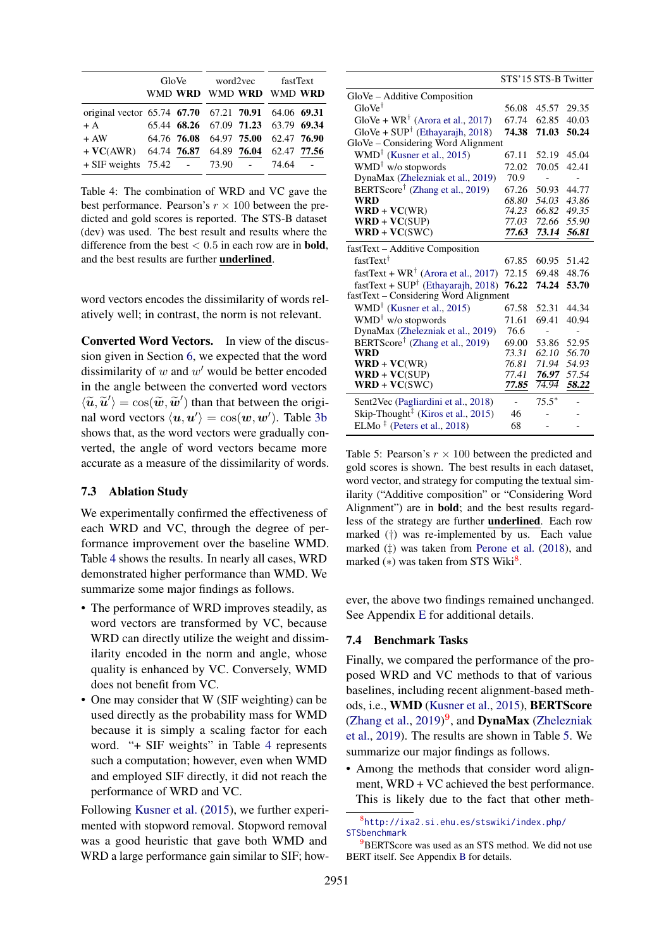<span id="page-7-0"></span>

|                                                             |  | GloVe word2vec fastText<br>WMD WRD WMD WRD WMD WRD |         |  |
|-------------------------------------------------------------|--|----------------------------------------------------|---------|--|
| original vector 65.74 67.70 67.21 70.91 64.06 69.31<br>$+A$ |  | 65.44 68.26 67.09 71.23 63.79 69.34                |         |  |
| $+AW$<br>$+$ VC(AWR) 64.74 76.87 64.89 76.04 62.47 77.56    |  | 64.76 76.08 64.97 75.00 62.47 76.90                |         |  |
| $+$ SIF weights 75.42 - 73.90 -                             |  |                                                    | 74.64 - |  |

Table 4: The combination of WRD and VC gave the best performance. Pearson's  $r \times 100$  between the predicted and gold scores is reported. The STS-B dataset (dev) was used. The best result and results where the difference from the best  $< 0.5$  in each row are in **bold**, and the best results are further underlined.

word vectors encodes the dissimilarity of words relatively well; in contrast, the norm is not relevant.

Converted Word Vectors. In view of the discussion given in Section [6,](#page-4-0) we expected that the word dissimilarity of  $w$  and  $w'$  would be better encoded in the angle between the converted word vectors  $\langle \widetilde{u}, \widetilde{u}' \rangle = \cos(\widetilde{w}, \widetilde{w}')$  than that between the original word vectors  $\langle v, v' \rangle = \cos(\omega, w')$ . Table 3b nal word vectors  $\langle u, u' \rangle = \cos(w, w')$ . Table [3b](#page-6-2) shows that, as the word vectors were gradually converted, the angle of word vectors became more accurate as a measure of the dissimilarity of words.

### 7.3 Ablation Study

We experimentally confirmed the effectiveness of each WRD and VC, through the degree of performance improvement over the baseline WMD. Table [4](#page-7-0) shows the results. In nearly all cases, WRD demonstrated higher performance than WMD. We summarize some major findings as follows.

- The performance of WRD improves steadily, as word vectors are transformed by VC, because WRD can directly utilize the weight and dissimilarity encoded in the norm and angle, whose quality is enhanced by VC. Conversely, WMD does not benefit from VC.
- One may consider that W (SIF weighting) can be used directly as the probability mass for WMD because it is simply a scaling factor for each word. "+ SIF weights" in Table [4](#page-7-0) represents such a computation; however, even when WMD and employed SIF directly, it did not reach the performance of WRD and VC.

Following [Kusner et al.](#page-10-1) [\(2015\)](#page-10-1), we further experimented with stopword removal. Stopword removal was a good heuristic that gave both WMD and WRD a large performance gain similar to SIF; how-

<span id="page-7-3"></span>

|                                                                    | STS'15 STS-B Twitter |         |       |
|--------------------------------------------------------------------|----------------------|---------|-------|
| GloVe – Additive Composition                                       |                      |         |       |
| $GloVe^{\dagger}$                                                  | 56.08                | 45.57   | 29.35 |
| GloVe + $WR^{\dagger}$ (Arora et al., 2017)                        | 67.74                | 62.85   | 40.03 |
| $GloVe + SUP^{\dagger}$ (Ethayarajh, 2018)                         | 74.38                | 71.03   | 50.24 |
| GloVe - Considering Word Alignment                                 |                      |         |       |
| $WMD^{\dagger}$ (Kusner et al., 2015)                              | 67.11                | 52.19   | 45.04 |
| $WMD^{\dagger}$ w/o stopwords                                      | 72.02                | 70.05   | 42.41 |
| DynaMax (Zhelezniak et al., 2019)                                  | 70.9                 |         |       |
| BERTScore <sup>†</sup> (Zhang et al., 2019)                        | 67.26                | 50.93   | 44.77 |
| <b>WRD</b>                                                         | 68.80                | 54.03   | 43.86 |
| $WRD + VC(WR)$                                                     | 74.23                | 66.82   | 49.35 |
| $WRD + VC(SUP)$                                                    | 77.03                | 72.66   | 55.90 |
| $WRD + VC(SWC)$                                                    | 77.63                | 73.14   | 56.81 |
| fastText – Additive Composition                                    |                      |         |       |
| fastText <sup>†</sup>                                              | 67.85                | 60.95   | 51.42 |
| fastText + $WR^{\dagger}$ (Arora et al., 2017)                     | 72.15                | 69.48   | 48.76 |
| fastText + $SUP†$ (Ethayarajh, 2018)                               | 76.22                | 74.24   | 53.70 |
| fastText – Considering Word Alignment                              |                      |         |       |
| $WMD^{\dagger}$ (Kusner et al., 2015)                              | 67.58                | 52.31   | 44.34 |
| WMD <sup>†</sup> w/o stopwords                                     | 71.61                | 69.41   | 40.94 |
| DynaMax (Zhelezniak et al., 2019)                                  | 76.6                 |         |       |
| BERTScore <sup>†</sup> (Zhang et al., 2019)                        | 69.00                | 53.86   | 52.95 |
| <b>WRD</b>                                                         | 73.31                | 62.10   | 56.70 |
| $WRD + VC(WR)$                                                     | 76.81                | 71.94   | 54.93 |
| $WRD + VC(SUP)$                                                    | 77.41                | 76.97   | 57.54 |
| $WRD + VC(SWC)$                                                    | 77.85                | 74.94   | 58.22 |
| Sent2Vec (Pagliardini et al., 2018)                                |                      | $75.5*$ |       |
| Skip-Thought <sup><math>\ddagger</math></sup> (Kiros et al., 2015) | 46                   |         |       |
| ELMo <sup><math>‡</math></sup> (Peters et al., 2018)               | 68                   |         |       |

Table 5: Pearson's  $r \times 100$  between the predicted and gold scores is shown. The best results in each dataset, word vector, and strategy for computing the textual similarity ("Additive composition" or "Considering Word Alignment") are in bold; and the best results regardless of the strategy are further underlined. Each row marked (†) was re-implemented by us. Each value marked (‡) was taken from [Perone et al.](#page-10-19) [\(2018\)](#page-10-19), and marked  $(*)$  was taken from STS Wiki $^8$  $^8$ .

ever, the above two findings remained unchanged. See Appendix [E](#page-13-0) for additional details.

#### 7.4 Benchmark Tasks

Finally, we compared the performance of the proposed WRD and VC methods to that of various baselines, including recent alignment-based methods, i.e., WMD [\(Kusner et al.,](#page-10-1) [2015\)](#page-10-1), BERTScore [\(Zhang et al.,](#page-11-2)  $2019$  $2019$ )<sup>9</sup>, and **DynaMax** [\(Zhelezniak](#page-11-3) [et al.,](#page-11-3) [2019\)](#page-11-3). The results are shown in Table [5.](#page-7-3) We summarize our major findings as follows.

• Among the methods that consider word alignment, WRD + VC achieved the best performance. This is likely due to the fact that other meth-

<span id="page-7-1"></span>8 [http://ixa2.si.ehu.es/stswiki/index.php/](http://ixa2.si.ehu.es/stswiki/index.php/STSbenchmark) [STSbenchmark](http://ixa2.si.ehu.es/stswiki/index.php/STSbenchmark)

<span id="page-7-2"></span>**BERTS**core was used as an STS method. We did not use BERT itself. See Appendix [B](#page-12-2) for details.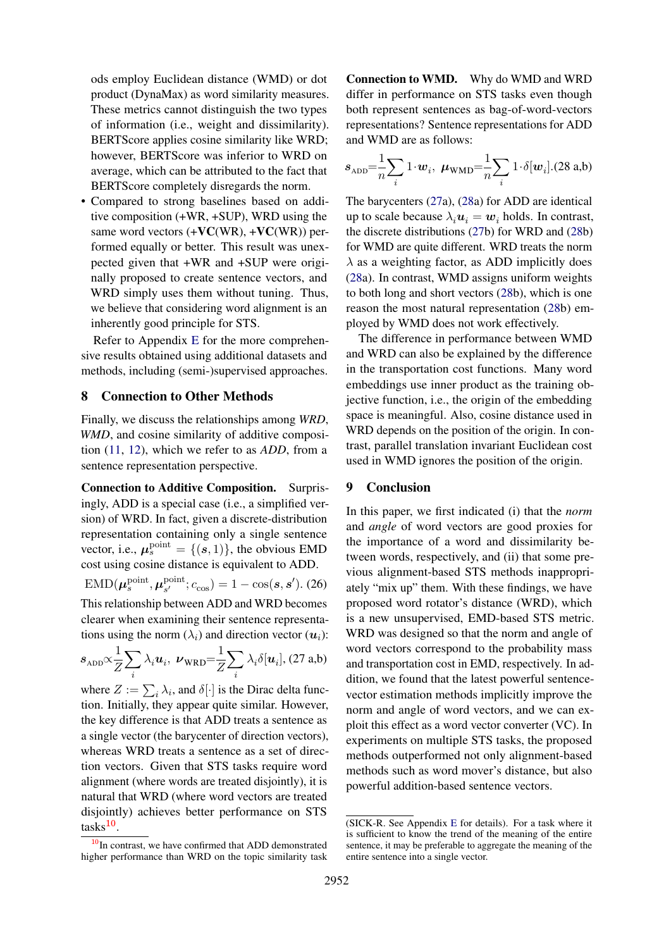ods employ Euclidean distance (WMD) or dot product (DynaMax) as word similarity measures. These metrics cannot distinguish the two types of information (i.e., weight and dissimilarity). BERTScore applies cosine similarity like WRD; however, BERTScore was inferior to WRD on average, which can be attributed to the fact that BERTScore completely disregards the norm.

• Compared to strong baselines based on additive composition (+WR, +SUP), WRD using the same word vectors  $(+VC(WR), +VC(WR))$  performed equally or better. This result was unexpected given that +WR and +SUP were originally proposed to create sentence vectors, and WRD simply uses them without tuning. Thus, we believe that considering word alignment is an inherently good principle for STS.

Refer to Appendix [E](#page-13-0) for the more comprehensive results obtained using additional datasets and methods, including (semi-)supervised approaches.

### 8 Connection to Other Methods

Finally, we discuss the relationships among *WRD*, *WMD*, and cosine similarity of additive composition [\(11,](#page-3-0) [12\)](#page-3-5), which we refer to as *ADD*, from a sentence representation perspective.

Connection to Additive Composition. Surprisingly, ADD is a special case (i.e., a simplified version) of WRD. In fact, given a discrete-distribution representation containing only a single sentence vector, i.e.,  $\mu_s^{\text{point}} = \{(s, 1)\}\text{, the obvious EMD}$ cost using cosine distance is equivalent to ADD.

 $\mathrm{EMD}(\bm{\mu}_s^{\mathrm{point}}, \bm{\mu}_{s'}^{\mathrm{point}}$  $S_{s'}^{\text{point}}$ ;  $c_{\cos}$ ) = 1 – cos(s, s'). (26) This relationship between ADD and WRD becomes clearer when examining their sentence representations using the norm  $(\lambda_i)$  and direction vector  $(u_i)$ :

$$
s_{\text{ADD}} \propto \frac{1}{Z} \sum_{i} \lambda_i \boldsymbol{u}_i, \ \boldsymbol{\nu}_{\text{WRD}} = \frac{1}{Z} \sum_{i} \lambda_i \delta[\boldsymbol{u}_i], (27 \text{ a,b})
$$

where  $Z := \sum_i \lambda_i$ , and  $\delta[\cdot]$  is the Dirac delta function. Initially, they appear quite similar. However, the key difference is that ADD treats a sentence as a single vector (the barycenter of direction vectors), whereas WRD treats a sentence as a set of direction vectors. Given that STS tasks require word alignment (where words are treated disjointly), it is natural that WRD (where word vectors are treated disjointly) achieves better performance on STS tasks<sup>[10](#page-8-0)</sup>.

Connection to WMD. Why do WMD and WRD differ in performance on STS tasks even though both represent sentences as bag-of-word-vectors representations? Sentence representations for ADD and WMD are as follows:

<span id="page-8-2"></span>
$$
s_{\text{ADD}} = \frac{1}{n} \sum_{i} 1 \cdot w_i, \ \mu_{\text{WMD}} = \frac{1}{n} \sum_{i} 1 \cdot \delta[w_i]. (28 \text{ a,b})
$$

The barycenters [\(27a](#page-8-1)), [\(28a](#page-8-2)) for ADD are identical up to scale because  $\lambda_i u_i = w_i$  holds. In contrast, the discrete distributions [\(27b](#page-8-1)) for WRD and [\(28b](#page-8-2)) for WMD are quite different. WRD treats the norm  $\lambda$  as a weighting factor, as ADD implicitly does [\(28a](#page-8-2)). In contrast, WMD assigns uniform weights to both long and short vectors [\(28b](#page-8-2)), which is one reason the most natural representation [\(28b](#page-8-2)) employed by WMD does not work effectively.

The difference in performance between WMD and WRD can also be explained by the difference in the transportation cost functions. Many word embeddings use inner product as the training objective function, i.e., the origin of the embedding space is meaningful. Also, cosine distance used in WRD depends on the position of the origin. In contrast, parallel translation invariant Euclidean cost used in WMD ignores the position of the origin.

## 9 Conclusion

<span id="page-8-1"></span>In this paper, we first indicated (i) that the *norm* and *angle* of word vectors are good proxies for the importance of a word and dissimilarity between words, respectively, and (ii) that some previous alignment-based STS methods inappropriately "mix up" them. With these findings, we have proposed word rotator's distance (WRD), which is a new unsupervised, EMD-based STS metric. WRD was designed so that the norm and angle of word vectors correspond to the probability mass and transportation cost in EMD, respectively. In addition, we found that the latest powerful sentencevector estimation methods implicitly improve the norm and angle of word vectors, and we can exploit this effect as a word vector converter (VC). In experiments on multiple STS tasks, the proposed methods outperformed not only alignment-based methods such as word mover's distance, but also powerful addition-based sentence vectors.

<span id="page-8-0"></span> $10$ In contrast, we have confirmed that ADD demonstrated higher performance than WRD on the topic similarity task

<sup>(</sup>SICK-R. See Appendix [E](#page-13-0) for details). For a task where it is sufficient to know the trend of the meaning of the entire sentence, it may be preferable to aggregate the meaning of the entire sentence into a single vector.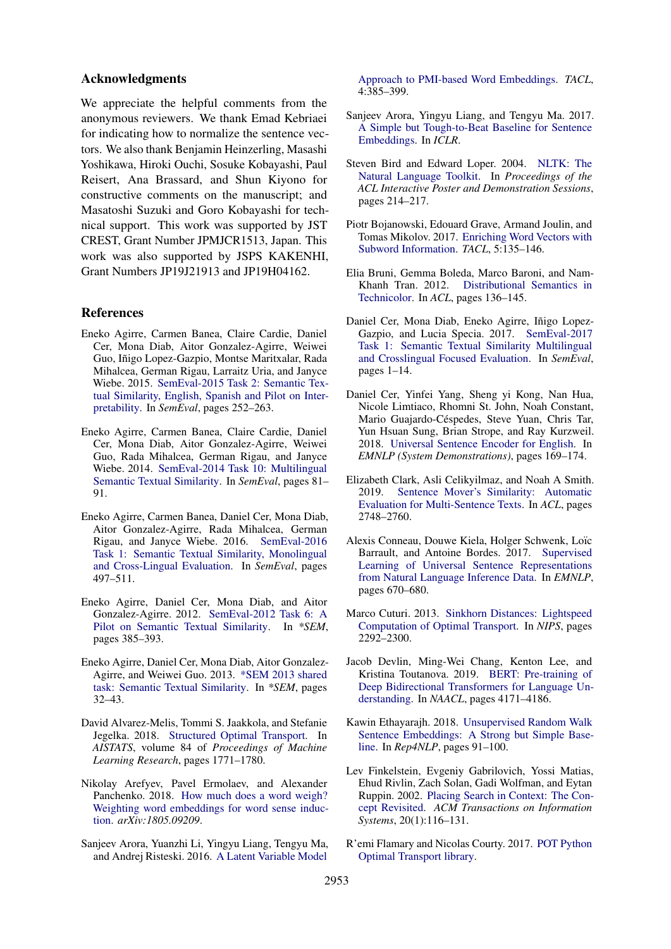#### Acknowledgments

We appreciate the helpful comments from the anonymous reviewers. We thank Emad Kebriaei for indicating how to normalize the sentence vectors. We also thank Benjamin Heinzerling, Masashi Yoshikawa, Hiroki Ouchi, Sosuke Kobayashi, Paul Reisert, Ana Brassard, and Shun Kiyono for constructive comments on the manuscript; and Masatoshi Suzuki and Goro Kobayashi for technical support. This work was supported by JST CREST, Grant Number JPMJCR1513, Japan. This work was also supported by JSPS KAKENHI, Grant Numbers JP19J21913 and JP19H04162.

### References

- <span id="page-9-13"></span>Eneko Agirre, Carmen Banea, Claire Cardie, Daniel Cer, Mona Diab, Aitor Gonzalez-Agirre, Weiwei Guo, Iñigo Lopez-Gazpio, Montse Maritxalar, Rada Mihalcea, German Rigau, Larraitz Uria, and Janyce Wiebe. 2015. [SemEval-2015 Task 2: Semantic Tex](https://doi.org/10.18653/v1/S15-2045)[tual Similarity, English, Spanish and Pilot on Inter](https://doi.org/10.18653/v1/S15-2045)[pretability.](https://doi.org/10.18653/v1/S15-2045) In *SemEval*, pages 252–263.
- <span id="page-9-17"></span>Eneko Agirre, Carmen Banea, Claire Cardie, Daniel Cer, Mona Diab, Aitor Gonzalez-Agirre, Weiwei Guo, Rada Mihalcea, German Rigau, and Janyce Wiebe. 2014. [SemEval-2014 Task 10: Multilingual](https://doi.org/10.3115/v1/S14-2010) [Semantic Textual Similarity.](https://doi.org/10.3115/v1/S14-2010) In *SemEval*, pages 81– 91.
- <span id="page-9-18"></span>Eneko Agirre, Carmen Banea, Daniel Cer, Mona Diab, Aitor Gonzalez-Agirre, Rada Mihalcea, German Rigau, and Janyce Wiebe. 2016. [SemEval-2016](https://doi.org/10.18653/v1/S16-1081) [Task 1: Semantic Textual Similarity, Monolingual](https://doi.org/10.18653/v1/S16-1081) [and Cross-Lingual Evaluation.](https://doi.org/10.18653/v1/S16-1081) In *SemEval*, pages 497–511.
- <span id="page-9-0"></span>Eneko Agirre, Daniel Cer, Mona Diab, and Aitor Gonzalez-Agirre. 2012. [SemEval-2012 Task 6: A](https://aclweb.org/anthology/papers/S/S12/S12-1051/) [Pilot on Semantic Textual Similarity.](https://aclweb.org/anthology/papers/S/S12/S12-1051/) In *\*SEM*, pages 385–393.
- <span id="page-9-3"></span>Eneko Agirre, Daniel Cer, Mona Diab, Aitor Gonzalez-Agirre, and Weiwei Guo. 2013. [\\*SEM 2013 shared](https://www.aclweb.org/anthology/papers/S/S13/S13-1004/) [task: Semantic Textual Similarity.](https://www.aclweb.org/anthology/papers/S/S13/S13-1004/) In *\*SEM*, pages 32–43.
- <span id="page-9-5"></span>David Alvarez-Melis, Tommi S. Jaakkola, and Stefanie Jegelka. 2018. [Structured Optimal Transport.](http://proceedings.mlr.press/v84/alvarez-melis18a.html) In *AISTATS*, volume 84 of *Proceedings of Machine Learning Research*, pages 1771–1780.
- <span id="page-9-9"></span>Nikolay Arefyev, Pavel Ermolaev, and Alexander Panchenko. 2018. [How much does a word weigh?](http://arxiv.org/abs/1805.09209v2) [Weighting word embeddings for word sense induc](http://arxiv.org/abs/1805.09209v2)[tion.](http://arxiv.org/abs/1805.09209v2) *arXiv:1805.09209*.
- <span id="page-9-11"></span>Sanjeev Arora, Yuanzhi Li, Yingyu Liang, Tengyu Ma, and Andrej Risteski. 2016. [A Latent Variable Model](https://doi.org/10.1162/tacl{_}a{_}00106)

[Approach to PMI-based Word Embeddings.](https://doi.org/10.1162/tacl{_}a{_}00106) *TACL*, 4:385–399.

- <span id="page-9-1"></span>Sanjeev Arora, Yingyu Liang, and Tengyu Ma. 2017. [A Simple but Tough-to-Beat Baseline for Sentence](https://openreview.net/forum?id=SyK00v5xx) [Embeddings.](https://openreview.net/forum?id=SyK00v5xx) In *ICLR*.
- <span id="page-9-19"></span>Steven Bird and Edward Loper. 2004. [NLTK: The](https://www.aclweb.org/anthology/P04-3031) [Natural Language Toolkit.](https://www.aclweb.org/anthology/P04-3031) In *Proceedings of the ACL Interactive Poster and Demonstration Sessions*, pages 214–217.
- <span id="page-9-10"></span>Piotr Bojanowski, Edouard Grave, Armand Joulin, and Tomas Mikolov. 2017. [Enriching Word Vectors with](https://doi.org/10.1162/tacl{_}a{_}00051) [Subword Information.](https://doi.org/10.1162/tacl{_}a{_}00051) *TACL*, 5:135–146.
- <span id="page-9-15"></span>Elia Bruni, Gemma Boleda, Marco Baroni, and Nam-Khanh Tran. 2012. [Distributional Semantics in](https://www.aclweb.org/anthology/P12-1015) [Technicolor.](https://www.aclweb.org/anthology/P12-1015) In *ACL*, pages 136–145.
- <span id="page-9-14"></span>Daniel Cer, Mona Diab, Eneko Agirre, Iñigo Lopez-Gazpio, and Lucia Specia. 2017. [SemEval-2017](https://doi.org/10.18653/v1/S17-2001) [Task 1: Semantic Textual Similarity Multilingual](https://doi.org/10.18653/v1/S17-2001) [and Crosslingual Focused Evaluation.](https://doi.org/10.18653/v1/S17-2001) In *SemEval*, pages 1–14.
- <span id="page-9-8"></span>Daniel Cer, Yinfei Yang, Sheng yi Kong, Nan Hua, Nicole Limtiaco, Rhomni St. John, Noah Constant, Mario Guajardo-Céspedes, Steve Yuan, Chris Tar, Yun Hsuan Sung, Brian Strope, and Ray Kurzweil. 2018. [Universal Sentence Encoder for English.](https://doi.org/10.18653/v1/d18-2029) In *EMNLP (System Demonstrations)*, pages 169–174.
- <span id="page-9-4"></span>Elizabeth Clark, Asli Celikyilmaz, and Noah A Smith. 2019. [Sentence Mover's Similarity: Automatic](https://doi.org/10.18653/v1/P19-1264) [Evaluation for Multi-Sentence Texts.](https://doi.org/10.18653/v1/P19-1264) In *ACL*, pages 2748–2760.
- <span id="page-9-7"></span>Alexis Conneau, Douwe Kiela, Holger Schwenk, Loïc Barrault, and Antoine Bordes. 2017. [Supervised](https://doi.org/10.18653/v1/D17-1070) [Learning of Universal Sentence Representations](https://doi.org/10.18653/v1/D17-1070) [from Natural Language Inference Data.](https://doi.org/10.18653/v1/D17-1070) In *EMNLP*, pages 670–680.
- <span id="page-9-6"></span>Marco Cuturi. 2013. [Sinkhorn Distances: Lightspeed](https://papers.nips.cc/paper/4927-sinkhorn-distances-lightspeed-computation-of-optimal-transport) [Computation of Optimal Transport.](https://papers.nips.cc/paper/4927-sinkhorn-distances-lightspeed-computation-of-optimal-transport) In *NIPS*, pages 2292–2300.
- <span id="page-9-12"></span>Jacob Devlin, Ming-Wei Chang, Kenton Lee, and Kristina Toutanova. 2019. [BERT: Pre-training of](https://doi.org/10.18653/v1/N19-1423) [Deep Bidirectional Transformers for Language Un](https://doi.org/10.18653/v1/N19-1423)[derstanding.](https://doi.org/10.18653/v1/N19-1423) In *NAACL*, pages 4171–4186.
- <span id="page-9-2"></span>Kawin Ethayarajh. 2018. [Unsupervised Random Walk](https://aclweb.org/anthology/papers/W/W18/W18-3012/) [Sentence Embeddings: A Strong but Simple Base](https://aclweb.org/anthology/papers/W/W18/W18-3012/)[line.](https://aclweb.org/anthology/papers/W/W18/W18-3012/) In *Rep4NLP*, pages 91–100.
- <span id="page-9-16"></span>Lev Finkelstein, Evgeniy Gabrilovich, Yossi Matias, Ehud Rivlin, Zach Solan, Gadi Wolfman, and Eytan Ruppin. 2002. [Placing Search in Context: The Con](https://doi.org/10.1145/503104.503110)[cept Revisited.](https://doi.org/10.1145/503104.503110) *ACM Transactions on Information Systems*, 20(1):116–131.
- <span id="page-9-20"></span>R'emi Flamary and Nicolas Courty. 2017. [POT Python](https://pythonot.github.io/) [Optimal Transport library.](https://pythonot.github.io/)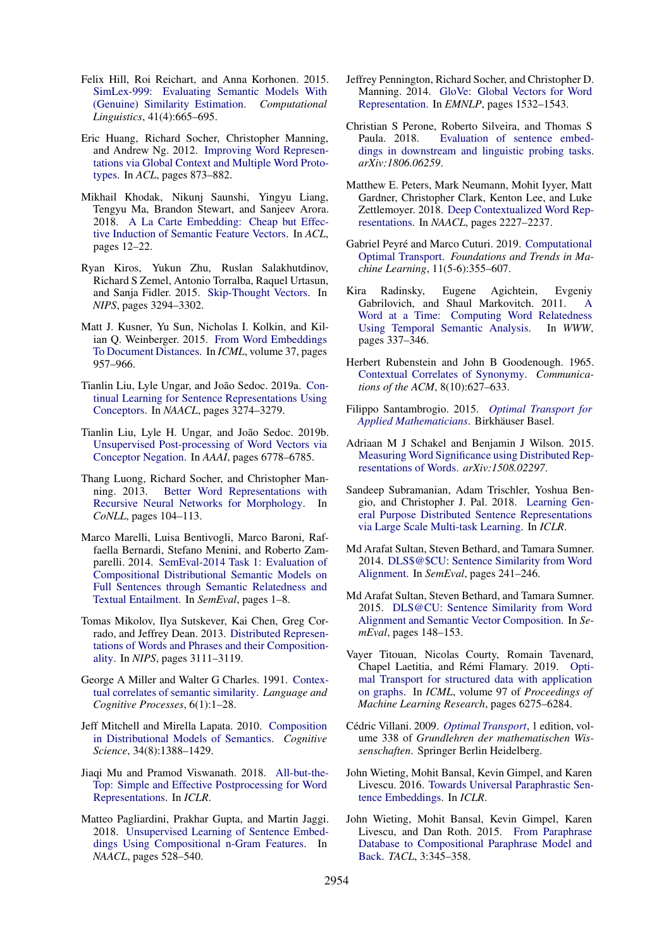- <span id="page-10-26"></span>Felix Hill, Roi Reichart, and Anna Korhonen. 2015. [SimLex-999: Evaluating Semantic Models With](https://doi.org/10.1162/COLI{_}a{_}00237) [\(Genuine\) Similarity Estimation.](https://doi.org/10.1162/COLI{_}a{_}00237) *Computational Linguistics*, 41(4):665–695.
- <span id="page-10-25"></span>Eric Huang, Richard Socher, Christopher Manning, and Andrew Ng. 2012. [Improving Word Represen](https://www.aclweb.org/anthology/P12-1092)[tations via Global Context and Multiple Word Proto](https://www.aclweb.org/anthology/P12-1092)[types.](https://www.aclweb.org/anthology/P12-1092) In *ACL*, pages 873–882.
- <span id="page-10-14"></span>Mikhail Khodak, Nikunj Saunshi, Yingyu Liang, Tengyu Ma, Brandon Stewart, and Sanjeev Arora. 2018. [A La Carte Embedding: Cheap but Effec](https://www.aclweb.org/anthology/papers/P/P18/P18-1002/)[tive Induction of Semantic Feature Vectors.](https://www.aclweb.org/anthology/papers/P/P18/P18-1002/) In *ACL*, pages 12–22.
- <span id="page-10-6"></span>Ryan Kiros, Yukun Zhu, Ruslan Salakhutdinov, Richard S Zemel, Antonio Torralba, Raquel Urtasun, and Sanja Fidler. 2015. [Skip-Thought Vectors.](https://papers.nips.cc/paper/5950-skip-thought-vectors) In *NIPS*, pages 3294–3302.
- <span id="page-10-1"></span>Matt J. Kusner, Yu Sun, Nicholas I. Kolkin, and Kilian Q. Weinberger. 2015. [From Word Embeddings](http://proceedings.mlr.press/v37/kusnerb15.html) [To Document Distances.](http://proceedings.mlr.press/v37/kusnerb15.html) In *ICML*, volume 37, pages 957–966.
- <span id="page-10-16"></span>Tianlin Liu, Lyle Ungar, and João Sedoc. 2019a. [Con](https://doi.org/10.18653/v1/N19-1331)[tinual Learning for Sentence Representations Using](https://doi.org/10.18653/v1/N19-1331) [Conceptors.](https://doi.org/10.18653/v1/N19-1331) In *NAACL*, pages 3274–3279.
- <span id="page-10-8"></span>Tianlin Liu, Lyle H. Ungar, and João Sedoc. 2019b. [Unsupervised Post-processing of Word Vectors via](https://doi.org/10.1609/aaai.v33i01.33016778) [Conceptor Negation.](https://doi.org/10.1609/aaai.v33i01.33016778) In *AAAI*, pages 6778–6785.
- <span id="page-10-23"></span>Thang Luong, Richard Socher, and Christopher Manning. 2013. [Better Word Representations with](https://www.aclweb.org/anthology/W13-3512) [Recursive Neural Networks for Morphology.](https://www.aclweb.org/anthology/W13-3512) In *CoNLL*, pages 104–113.
- <span id="page-10-27"></span>Marco Marelli, Luisa Bentivogli, Marco Baroni, Raffaella Bernardi, Stefano Menini, and Roberto Zamparelli. 2014. [SemEval-2014 Task 1: Evaluation of](https://doi.org/10.3115/v1/S14-2001) [Compositional Distributional Semantic Models on](https://doi.org/10.3115/v1/S14-2001) [Full Sentences through Semantic Relatedness and](https://doi.org/10.3115/v1/S14-2001) [Textual Entailment.](https://doi.org/10.3115/v1/S14-2001) In *SemEval*, pages 1–8.
- <span id="page-10-11"></span>Tomas Mikolov, Ilya Sutskever, Kai Chen, Greg Corrado, and Jeffrey Dean. 2013. [Distributed Represen](http://papers.nips.cc/paper/5021-distributed-representations-of-words-and-phrases-and-their-compositionality)[tations of Words and Phrases and their Composition](http://papers.nips.cc/paper/5021-distributed-representations-of-words-and-phrases-and-their-compositionality)[ality.](http://papers.nips.cc/paper/5021-distributed-representations-of-words-and-phrases-and-their-compositionality) In *NIPS*, pages 3111–3119.
- <span id="page-10-22"></span>George A Miller and Walter G Charles. 1991. [Contex](https://doi.org/10.1080/01690969108406936)[tual correlates of semantic similarity.](https://doi.org/10.1080/01690969108406936) *Language and Cognitive Processes*, 6(1):1–28.
- <span id="page-10-10"></span>Jeff Mitchell and Mirella Lapata. 2010. [Composition](https://doi.org/10.1111/j.1551-6709.2010.01106.x) [in Distributional Models of Semantics.](https://doi.org/10.1111/j.1551-6709.2010.01106.x) *Cognitive Science*, 34(8):1388–1429.
- <span id="page-10-17"></span>Jiaqi Mu and Pramod Viswanath. 2018. [All-but-the-](https://openreview.net/forum?id=HkuGJ3kCb)[Top: Simple and Effective Postprocessing for Word](https://openreview.net/forum?id=HkuGJ3kCb) [Representations.](https://openreview.net/forum?id=HkuGJ3kCb) In *ICLR*.
- <span id="page-10-7"></span>Matteo Pagliardini, Prakhar Gupta, and Martin Jaggi. 2018. [Unsupervised Learning of Sentence Embed](https://doi.org/10.18653/v1/N18-1049)[dings Using Compositional n-Gram Features.](https://doi.org/10.18653/v1/N18-1049) In *NAACL*, pages 528–540.
- <span id="page-10-15"></span>Jeffrey Pennington, Richard Socher, and Christopher D. Manning. 2014. [GloVe: Global Vectors for Word](https://doi.org/10.3115/v1/D14-1162) [Representation.](https://doi.org/10.3115/v1/D14-1162) In *EMNLP*, pages 1532–1543.
- <span id="page-10-19"></span>Christian S Perone, Roberto Silveira, and Thomas S Paula. 2018. [Evaluation of sentence embed](http://arxiv.org/abs/1806.06259v1)[dings in downstream and linguistic probing tasks.](http://arxiv.org/abs/1806.06259v1) *arXiv:1806.06259*.
- <span id="page-10-18"></span>Matthew E. Peters, Mark Neumann, Mohit Iyyer, Matt Gardner, Christopher Clark, Kenton Lee, and Luke Zettlemoyer. 2018. [Deep Contextualized Word Rep](https://doi.org/10.18653/v1/N18-1202)[resentations.](https://doi.org/10.18653/v1/N18-1202) In *NAACL*, pages 2227–2237.
- <span id="page-10-4"></span>Gabriel Peyré and Marco Cuturi. 2019. [Computational](https://doi.org/10.1561/2200000073) [Optimal Transport.](https://doi.org/10.1561/2200000073) *Foundations and Trends in Machine Learning*, 11(5-6):355–607.
- <span id="page-10-21"></span>Kira Radinsky, Eugene Agichtein, Evgeniy Gabrilovich, and Shaul Markovitch. 2011. [A](https://doi.org/10.1145/1963405.1963455) [Word at a Time: Computing Word Relatedness](https://doi.org/10.1145/1963405.1963455) [Using Temporal Semantic Analysis.](https://doi.org/10.1145/1963405.1963455) In *WWW*, pages 337–346.
- <span id="page-10-24"></span>Herbert Rubenstein and John B Goodenough. 1965. [Contextual Correlates of Synonymy.](https://doi.org/10.1145/365628.365657) *Communications of the ACM*, 8(10):627–633.
- <span id="page-10-9"></span>Filippo Santambrogio. 2015. *[Optimal Transport for](https://doi.org/10.1007/978-3-319-20828-2) [Applied Mathematicians](https://doi.org/10.1007/978-3-319-20828-2)*. Birkhauser Basel. ¨
- <span id="page-10-13"></span>Adriaan M J Schakel and Benjamin J Wilson. 2015. [Measuring Word Significance using Distributed Rep](http://arxiv.org/abs/1508.02297v1)[resentations of Words.](http://arxiv.org/abs/1508.02297v1) *arXiv:1508.02297*.
- <span id="page-10-28"></span>Sandeep Subramanian, Adam Trischler, Yoshua Bengio, and Christopher J. Pal. 2018. [Learning Gen](https://openreview.net/pdf?id=B18WgG-CZ)[eral Purpose Distributed Sentence Representations](https://openreview.net/pdf?id=B18WgG-CZ) [via Large Scale Multi-task Learning.](https://openreview.net/pdf?id=B18WgG-CZ) In *ICLR*.
- <span id="page-10-0"></span>Md Arafat Sultan, Steven Bethard, and Tamara Sumner. 2014. [DLS\\$@\\$CU: Sentence Similarity from Word](https://doi.org/10.3115/v1/S14-2039) [Alignment.](https://doi.org/10.3115/v1/S14-2039) In *SemEval*, pages 241–246.
- <span id="page-10-2"></span>Md Arafat Sultan, Steven Bethard, and Tamara Sumner. 2015. [DLS@CU: Sentence Similarity from Word](https://doi.org/10.18653/v1/S15-2027) [Alignment and Semantic Vector Composition.](https://doi.org/10.18653/v1/S15-2027) In *SemEval*, pages 148–153.
- <span id="page-10-5"></span>Vayer Titouan, Nicolas Courty, Romain Tavenard, Chapel Laetitia, and Rémi Flamary. 2019. [Opti](http://proceedings.mlr.press/v97/titouan19a.html)[mal Transport for structured data with application](http://proceedings.mlr.press/v97/titouan19a.html) [on graphs.](http://proceedings.mlr.press/v97/titouan19a.html) In *ICML*, volume 97 of *Proceedings of Machine Learning Research*, pages 6275–6284.
- <span id="page-10-3"></span>Cédric Villani. 2009. *[Optimal Transport](https://doi.org/10.1007/978-3-540-71050-9)*, 1 edition, volume 338 of *Grundlehren der mathematischen Wissenschaften*. Springer Berlin Heidelberg.
- <span id="page-10-12"></span>John Wieting, Mohit Bansal, Kevin Gimpel, and Karen Livescu. 2016. [Towards Universal Paraphrastic Sen](https://arxiv.org/abs/1511.08198v3)[tence Embeddings.](https://arxiv.org/abs/1511.08198v3) In *ICLR*.
- <span id="page-10-20"></span>John Wieting, Mohit Bansal, Kevin Gimpel, Karen Livescu, and Dan Roth. 2015. [From Paraphrase](https://doi.org/10.1162/tacl{_}a{_}00143) [Database to Compositional Paraphrase Model and](https://doi.org/10.1162/tacl{_}a{_}00143) [Back.](https://doi.org/10.1162/tacl{_}a{_}00143) *TACL*, 3:345–358.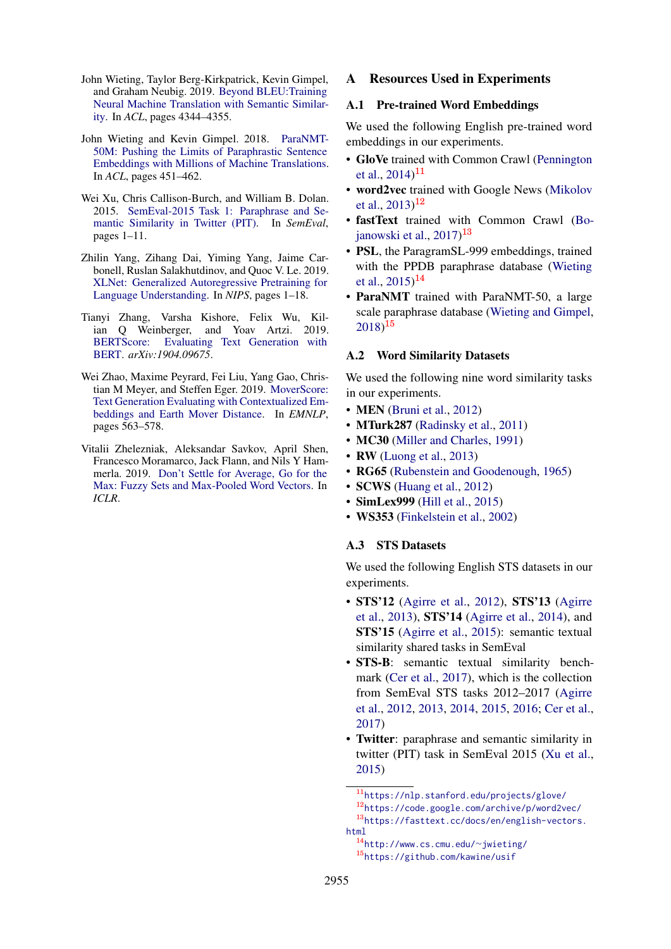- <span id="page-11-0"></span>John Wieting, Taylor Berg-Kirkpatrick, Kevin Gimpel, and Graham Neubig. 2019. [Beyond BLEU:Training](https://doi.org/10.18653/v1/P19-1427) [Neural Machine Translation with Semantic Similar](https://doi.org/10.18653/v1/P19-1427)[ity.](https://doi.org/10.18653/v1/P19-1427) In *ACL*, pages 4344–4355.
- <span id="page-11-4"></span>John Wieting and Kevin Gimpel. 2018. [ParaNMT-](https://www.aclweb.org/anthology/papers/P/P18/P18-1042/)[50M: Pushing the Limits of Paraphrastic Sentence](https://www.aclweb.org/anthology/papers/P/P18/P18-1042/) [Embeddings with Millions of Machine Translations.](https://www.aclweb.org/anthology/papers/P/P18/P18-1042/) In *ACL*, pages 451–462.
- <span id="page-11-5"></span>Wei Xu, Chris Callison-Burch, and William B. Dolan. 2015. [SemEval-2015 Task 1: Paraphrase and Se](https://doi.org/10.18653/v1/S15-2001)[mantic Similarity in Twitter \(PIT\).](https://doi.org/10.18653/v1/S15-2001) In *SemEval*, pages 1–11.
- <span id="page-11-12"></span>Zhilin Yang, Zihang Dai, Yiming Yang, Jaime Carbonell, Ruslan Salakhutdinov, and Quoc V. Le. 2019. [XLNet: Generalized Autoregressive Pretraining for](http://papers.nips.cc/paper/8812-xlnet-generalized-autoregressive-pretraining-for-language-understanding) [Language Understanding.](http://papers.nips.cc/paper/8812-xlnet-generalized-autoregressive-pretraining-for-language-understanding) In *NIPS*, pages 1–18.
- <span id="page-11-2"></span>Tianyi Zhang, Varsha Kishore, Felix Wu, Kilian Q Weinberger, and Yoav Artzi. 2019. [BERTScore: Evaluating Text Generation with](http://arxiv.org/abs/1904.09675v2) [BERT.](http://arxiv.org/abs/1904.09675v2) *arXiv:1904.09675*.
- <span id="page-11-1"></span>Wei Zhao, Maxime Peyrard, Fei Liu, Yang Gao, Christian M Meyer, and Steffen Eger. 2019. [MoverScore:](https://doi.org/10.18653/v1/D19-1053) [Text Generation Evaluating with Contextualized Em](https://doi.org/10.18653/v1/D19-1053)[beddings and Earth Mover Distance.](https://doi.org/10.18653/v1/D19-1053) In *EMNLP*, pages 563–578.
- <span id="page-11-3"></span>Vitalii Zhelezniak, Aleksandar Savkov, April Shen, Francesco Moramarco, Jack Flann, and Nils Y Hammerla. 2019. [Don't Settle for Average, Go for the](https://openreview.net/forum?id=SkxXg2C5FX) [Max: Fuzzy Sets and Max-Pooled Word Vectors.](https://openreview.net/forum?id=SkxXg2C5FX) In *ICLR*.

### <span id="page-11-6"></span>A Resources Used in Experiments

### A.1 Pre-trained Word Embeddings

We used the following English pre-trained word embeddings in our experiments.

- GloVe trained with Common Crawl [\(Pennington](#page-10-15) [et al.,](#page-10-15) [2014\)](#page-10-15) $^{11}$  $^{11}$  $^{11}$
- word2vec trained with Google News [\(Mikolov](#page-10-11) [et al.,](#page-10-11) [2013\)](#page-10-11)<sup>[12](#page-11-8)</sup>
- fastText trained with Common Crawl [\(Bo](#page-9-10)[janowski et al.,](#page-9-10) [2017\)](#page-9-10) [13](#page-11-9)
- PSL, the ParagramSL-999 embeddings, trained with the PPDB paraphrase database [\(Wieting](#page-10-20) [et al.,](#page-10-20) [2015\)](#page-10-20)<sup>[14](#page-11-10)</sup>
- ParaNMT trained with ParaNMT-50, a large scale paraphrase database [\(Wieting and Gimpel,](#page-11-4)  $(2018)^{15}$  $(2018)^{15}$  $(2018)^{15}$  $(2018)^{15}$  $(2018)^{15}$

#### A.2 Word Similarity Datasets

We used the following nine word similarity tasks in our experiments.

- **MEN** [\(Bruni et al.,](#page-9-15) [2012\)](#page-9-15)
- MTurk287 [\(Radinsky et al.,](#page-10-21) [2011\)](#page-10-21)
- MC30 [\(Miller and Charles,](#page-10-22) [1991\)](#page-10-22)
- RW [\(Luong et al.,](#page-10-23) [2013\)](#page-10-23)
- RG65 [\(Rubenstein and Goodenough,](#page-10-24) [1965\)](#page-10-24)
- **SCWS** [\(Huang et al.,](#page-10-25) [2012\)](#page-10-25)
- **SimLex999** [\(Hill et al.,](#page-10-26) [2015\)](#page-10-26)
- WS353 [\(Finkelstein et al.,](#page-9-16) [2002\)](#page-9-16)

### A.3 STS Datasets

We used the following English STS datasets in our experiments.

- STS'12 [\(Agirre et al.,](#page-9-0) [2012\)](#page-9-0), STS'13 [\(Agirre](#page-9-3) [et al.,](#page-9-3) [2013\)](#page-9-3), STS'14 [\(Agirre et al.,](#page-9-17) [2014\)](#page-9-17), and STS'15 [\(Agirre et al.,](#page-9-13) [2015\)](#page-9-13): semantic textual similarity shared tasks in SemEval
- STS-B: semantic textual similarity benchmark [\(Cer et al.,](#page-9-14) [2017\)](#page-9-14), which is the collection from SemEval STS tasks 2012–2017 [\(Agirre](#page-9-0) [et al.,](#page-9-0) [2012,](#page-9-0) [2013,](#page-9-3) [2014,](#page-9-17) [2015,](#page-9-13) [2016;](#page-9-18) [Cer et al.,](#page-9-14) [2017\)](#page-9-14)
- Twitter: paraphrase and semantic similarity in twitter (PIT) task in SemEval 2015 [\(Xu et al.,](#page-11-5) [2015\)](#page-11-5)

<span id="page-11-8"></span><span id="page-11-7"></span><sup>11</sup><https://nlp.stanford.edu/projects/glove/> <sup>12</sup><https://code.google.com/archive/p/word2vec/> <sup>13</sup>[https://fasttext.cc/docs/en/english-vectors.](https://fasttext.cc/docs/en/english-vectors.html) [html](https://fasttext.cc/docs/en/english-vectors.html)

<span id="page-11-11"></span><span id="page-11-10"></span><span id="page-11-9"></span><sup>14</sup>[http://www.cs.cmu.edu/](http://www.cs.cmu.edu/~jwieting/)∼jwieting/ <sup>15</sup><https://github.com/kawine/usif>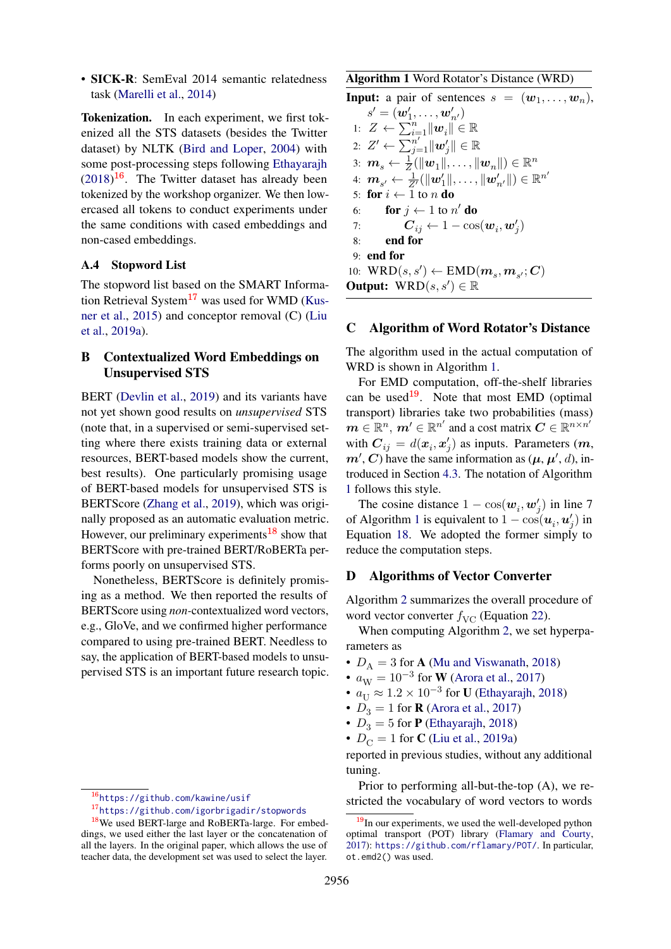• SICK-R: SemEval 2014 semantic relatedness task [\(Marelli et al.,](#page-10-27) [2014\)](#page-10-27)

Tokenization. In each experiment, we first tokenized all the STS datasets (besides the Twitter dataset) by NLTK [\(Bird and Loper,](#page-9-19) [2004\)](#page-9-19) with some post-processing steps following [Ethayarajh](#page-9-2)  $(2018)^{16}$  $(2018)^{16}$  $(2018)^{16}$  $(2018)^{16}$ . The Twitter dataset has already been tokenized by the workshop organizer. We then lowercased all tokens to conduct experiments under the same conditions with cased embeddings and non-cased embeddings.

### A.4 Stopword List

The stopword list based on the SMART Informa-tion Retrieval System<sup>[17](#page-12-4)</sup> was used for WMD [\(Kus](#page-10-1)[ner et al.,](#page-10-1) [2015\)](#page-10-1) and conceptor removal (C) [\(Liu](#page-10-16) [et al.,](#page-10-16) [2019a\)](#page-10-16).

## <span id="page-12-2"></span>B Contextualized Word Embeddings on Unsupervised STS

BERT [\(Devlin et al.,](#page-9-12) [2019\)](#page-9-12) and its variants have not yet shown good results on *unsupervised* STS (note that, in a supervised or semi-supervised setting where there exists training data or external resources, BERT-based models show the current, best results). One particularly promising usage of BERT-based models for unsupervised STS is BERTScore [\(Zhang et al.,](#page-11-2) [2019\)](#page-11-2), which was originally proposed as an automatic evaluation metric. However, our preliminary experiments<sup>[18](#page-12-5)</sup> show that BERTScore with pre-trained BERT/RoBERTa performs poorly on unsupervised STS.

Nonetheless, BERTScore is definitely promising as a method. We then reported the results of BERTScore using *non-*contextualized word vectors, e.g., GloVe, and we confirmed higher performance compared to using pre-trained BERT. Needless to say, the application of BERT-based models to unsupervised STS is an important future research topic. <span id="page-12-6"></span>Algorithm 1 Word Rotator's Distance (WRD)

**Input:** a pair of sentences  $s = (w_1, \ldots, w_n)$ ,

 $s'=(\boldsymbol{w}'_1,\dots,\boldsymbol{w}'_{n'})$ 1:  $Z \leftarrow \sum_{i=1}^{n} ||\boldsymbol{w}_i|| \in \mathbb{R}$ 2:  $Z' \leftarrow \sum_{j=1}^{n'} \|\boldsymbol{w}_j'\| \in \mathbb{R}$ 3:  $\boldsymbol{m}_s \leftarrow \frac{1}{Z}(\|\boldsymbol{w}_1\|, \dots, \|\boldsymbol{w}_n\|) \in \mathbb{R}^n$ 4:  $\boldsymbol{m}_{s'} \leftarrow \frac{1}{Z'}(\|\boldsymbol{w}_1'\|, \dots, \|\boldsymbol{w}_{n'}'\|) \in \mathbb{R}^{n'}$ 5: for  $i \leftarrow 1$  to n do 6: **for**  $j \leftarrow 1$  to  $n'$  **do** 7:  $\bm{C}_{ij} \leftarrow 1 - \cos(\bm{w}_i, \bm{w}_j')$ 8: end for 9: end for 10:  $\mathrm{WRD}(s,s') \leftarrow \mathrm{EMD}(\boldsymbol{m}_s, \boldsymbol{m}_{s'}; \boldsymbol{C})$ Output:  $WRD(s, s') \in \mathbb{R}$ 

### <span id="page-12-0"></span>C Algorithm of Word Rotator's Distance

The algorithm used in the actual computation of WRD is shown in Algorithm [1.](#page-12-6)

For EMD computation, off-the-shelf libraries can be used<sup>[19](#page-12-7)</sup>. Note that most EMD (optimal transport) libraries take two probabilities (mass)  $\boldsymbol{m} \in \mathbb{R}^n$ ,  $\boldsymbol{m}' \in \mathbb{R}^{n'}$  and a cost matrix  $\boldsymbol{C} \in \mathbb{R}^{n \times n'}$ with  $C_{ij} = d(x_i, x'_j)$  as inputs. Parameters  $(m,$  $m', C$ ) have the same information as  $(\mu, \mu', d)$ , introduced in Section [4.3.](#page-2-7) The notation of Algorithm [1](#page-12-6) follows this style.

The cosine distance  $1 - \cos(w_i, w'_j)$  in line 7 of Algorithm [1](#page-12-6) is equivalent to  $1 - \cos(\boldsymbol{u}_i, \boldsymbol{u}'_j)$  in Equation [18.](#page-4-5) We adopted the former simply to reduce the computation steps.

### <span id="page-12-1"></span>D Algorithms of Vector Converter

Algorithm [2](#page-13-1) summarizes the overall procedure of word vector converter  $f_{\text{VC}}$  (Equation [22\)](#page-5-3).

When computing Algorithm [2,](#page-13-1) we set hyperparameters as

- $D_A = 3$  for **A** [\(Mu and Viswanath,](#page-10-17) [2018\)](#page-10-17)
- $a_W = 10^{-3}$  for **W** [\(Arora et al.,](#page-9-1) [2017\)](#page-9-1)
- $a_U \approx 1.2 \times 10^{-3}$  for **U** [\(Ethayarajh,](#page-9-2) [2018\)](#page-9-2)
- $D_3 = 1$  for **R** [\(Arora et al.,](#page-9-1) [2017\)](#page-9-1)
- $D_3 = 5$  for **P** [\(Ethayarajh,](#page-9-2) [2018\)](#page-9-2)
- $D_C = 1$  for **C** [\(Liu et al.,](#page-10-16) [2019a\)](#page-10-16)

reported in previous studies, without any additional tuning.

Prior to performing all-but-the-top (A), we restricted the vocabulary of word vectors to words

<span id="page-12-3"></span><sup>16</sup><https://github.com/kawine/usif>

<span id="page-12-5"></span><span id="page-12-4"></span><sup>17</sup><https://github.com/igorbrigadir/stopwords>

<sup>18</sup>We used BERT-large and RoBERTa-large. For embeddings, we used either the last layer or the concatenation of all the layers. In the original paper, which allows the use of teacher data, the development set was used to select the layer.

<span id="page-12-7"></span> $19$ In our experiments, we used the well-developed python optimal transport (POT) library [\(Flamary and Courty,](#page-9-20) [2017\)](#page-9-20): <https://github.com/rflamary/POT/>. In particular, ot.emd2() was used.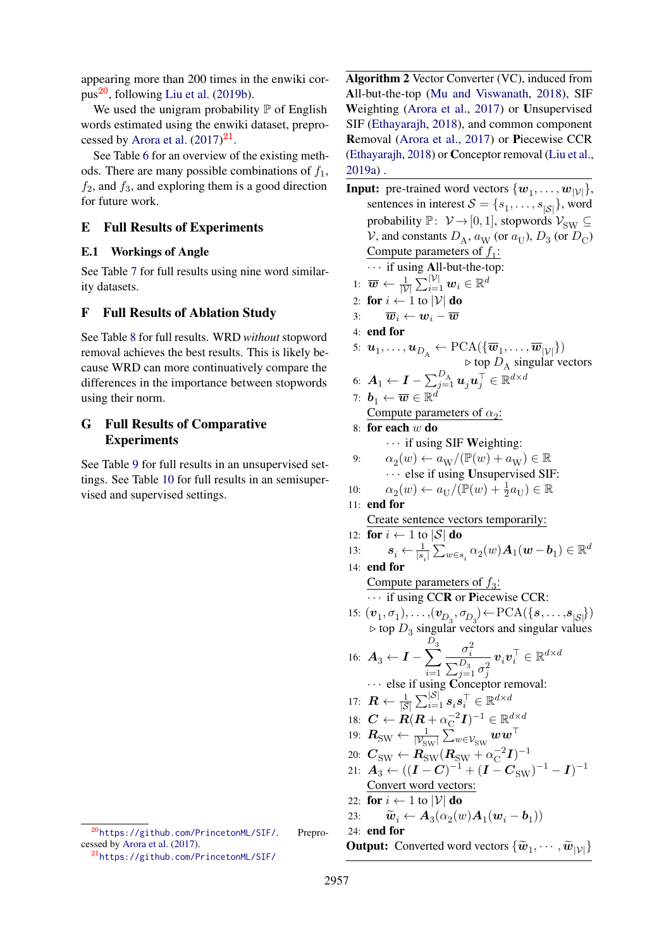appearing more than 200 times in the enwiki cor-pus<sup>[20](#page-13-2)</sup>, following [Liu et al.](#page-10-8)  $(2019b)$ .

We used the unigram probability  $\mathbb P$  of English words estimated using the enwiki dataset, prepro-cessed by [Arora et al.](#page-9-1)  $(2017)^{21}$  $(2017)^{21}$  $(2017)^{21}$  $(2017)^{21}$ .

See Table [6](#page-14-0) for an overview of the existing methods. There are many possible combinations of  $f_1$ ,  $f_2$ , and  $f_3$ , and exploring them is a good direction for future work.

## <span id="page-13-0"></span>E Full Results of Experiments

### E.1 Workings of Angle

See Table [7](#page-14-1) for full results using nine word similarity datasets.

## F Full Results of Ablation Study

See Table [8](#page-14-2) for full results. WRD *without* stopword removal achieves the best results. This is likely because WRD can more continuatively compare the differences in the importance between stopwords using their norm.

## G Full Results of Comparative **Experiments**

See Table [9](#page-15-0) for full results in an unsupervised settings. See Table [10](#page-16-0) for full results in an semisupervised and supervised settings.

<span id="page-13-1"></span>Algorithm 2 Vector Converter (VC), induced from All-but-the-top [\(Mu and Viswanath,](#page-10-17) [2018\)](#page-10-17), SIF Weighting [\(Arora et al.,](#page-9-1) [2017\)](#page-9-1) or Unsupervised SIF [\(Ethayarajh,](#page-9-2) [2018\)](#page-9-2), and common component Removal [\(Arora et al.,](#page-9-1) [2017\)](#page-9-1) or Piecewise CCR [\(Ethayarajh,](#page-9-2) [2018\)](#page-9-2) or Conceptor removal [\(Liu et al.,](#page-10-16) [2019a\)](#page-10-16) .

**Input:** pre-trained word vectors  $\{w_1, \ldots, w_{|\mathcal{V}|}\},\$ sentences in interest  $S = \{s_1, \ldots, s_{|\mathcal{S}|}\}\,$ , word probability  $\mathbb{P}: \mathcal{V} \to [0, 1]$ , stopwords  $\mathcal{V}_{SW} \subseteq$ V, and constants  $D_A$ ,  $a_W$  (or  $a_U$ ),  $D_3$  (or  $D_C$ ) Compute parameters of  $f_1$ :  $\cdots$  if using All-but-the-top: 1:  $\overline{\boldsymbol{w}} \leftarrow \frac{1}{|\mathcal{V}|} \sum_{i=1}^{|\mathcal{V}|} \boldsymbol{w}_i \in \mathbb{R}^d$ 2: for  $i \leftarrow 1$  to  $|V|$  do 3:  $\overline{w}_i \leftarrow w_i - \overline{w}_i$ 4: end for 5:  $\mathbf{u}_1, \ldots, \mathbf{u}_{D_A} \leftarrow \text{PCA}(\{\overline{\boldsymbol{w}}_1, \ldots, \overline{\boldsymbol{w}}_{|\mathcal{V}|}\})$  $\triangleright$  top  $D_A$  singular vectors 6:  $\boldsymbol{A}_1 \leftarrow \boldsymbol{I} - \sum_{j=1}^{D_{\text{A}}} \boldsymbol{u}_j \boldsymbol{u}_j^\top \in \mathbb{R}^{d \times d}$ 7:  $\boldsymbol{b}_1 \leftarrow \overline{\boldsymbol{w}} \in \mathbb{R}^d$ Compute parameters of  $\alpha_2$ : 8: for each w do  $\cdots$  if using SIF Weighting: 9:  $\alpha_2(w) \leftarrow a_W/(\mathbb{P}(w) + a_W) \in \mathbb{R}$  $\cdots$  else if using Unsupervised SIF: 10:  $\alpha_2(w) \leftarrow a_U/(\mathbb{P}(w) + \frac{1}{2}a_U) \in \mathbb{R}$ 11: end for Create sentence vectors temporarily: 12: for  $i \leftarrow 1$  to  $|\mathcal{S}|$  do 13:  $\mathbf{s}_i \leftarrow \frac{1}{|s_i|} \sum_{w \in s_i} \alpha_2(w) \mathbf{A}_1(w - \mathbf{b}_1) \in \mathbb{R}^d$ 14: end for Compute parameters of  $f_3$ : · · · if using CCR or Piecewise CCR: 15:  $(v_1, \sigma_1), \ldots, (v_{D_3}, \sigma_{D_3}) \leftarrow \text{PCA}(\{s, \ldots, s_{|\mathcal{S}|}\})$  $\triangleright$  top  $D_3$  singular vectors and singular values 16:  $A_3 \leftarrow I - \sum$  $D_3$  $i=1$  $\sigma_i^2$  $\sum_{j=1}^{D_3} \sigma_j^2$  $\boldsymbol{v}_i\boldsymbol{v}_i^\top\in\mathbb{R}^{d\times d}$  $\cdots$  else if using Conceptor removal: 17:  $\bm{R} \leftarrow \frac{1}{|\mathcal{S}|}\sum_{i=1}^{|\mathcal{S}|} \bm{s}_i \bm{s}_i^\top \in \mathbb{R}^{d \times d}$ 18:  $\boldsymbol{C} \leftarrow \boldsymbol{R}(\boldsymbol{R} + \alpha_{\mathrm{C}}^{-2})$  $(\overline{\text{C}}^2 \boldsymbol{I})^{-1} \in \mathbb{R}^{d \times d}$ 19:  $\boldsymbol{R}_\text{SW} \leftarrow \frac{1}{|\mathcal{V}_\text{SW}|} \sum_{w \in \mathcal{V}_\text{SW}} \boldsymbol{w} \boldsymbol{w}^\top$ 20:  $\boldsymbol{C}_{\text{SW}} \leftarrow \boldsymbol{R}_{\text{SW}}^{-1}(\boldsymbol{R}_{\text{SW}} + \alpha_{\text{C}}^{-2})$  $(\mathrm{C}^2\bm{I})^{-1}$ 21:  $A_3 \leftarrow ((\bm{I}-\bm{C})^{-1} + (\bm{I}-\bm{C}_{\text{SW}})^{-1} - \bm{I})^{-1}$ Convert word vectors: 22: for  $i \leftarrow 1$  to  $|\mathcal{V}|$  do 23:  $\widetilde{\boldsymbol{w}}_i \leftarrow \boldsymbol{A}_3(\alpha_2(w)\boldsymbol{A}_1(\boldsymbol{w}_i-\boldsymbol{b}_1))$ 24: end for **Output:** Converted word vectors  $\{\widetilde{\boldsymbol{w}}_1, \cdots, \widetilde{\boldsymbol{w}}_{|\mathcal{V}|}\}$ 

<span id="page-13-2"></span><sup>20</sup><https://github.com/PrincetonML/SIF/>. Preprocessed by [Arora et al.](#page-9-1) [\(2017\)](#page-9-1).

<span id="page-13-3"></span><sup>21</sup><https://github.com/PrincetonML/SIF/>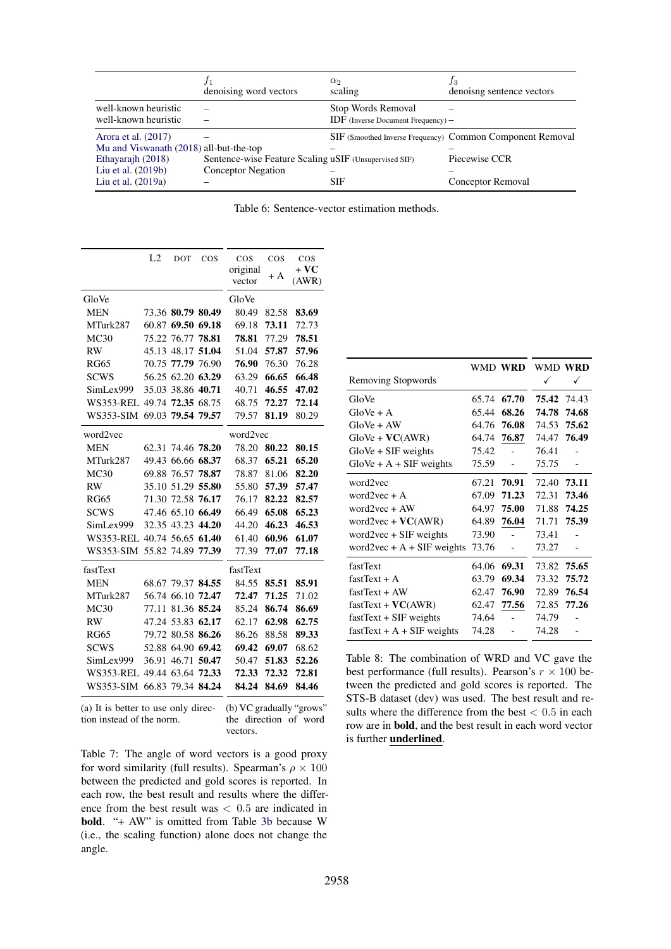<span id="page-14-0"></span>

|                                         | denoising word vectors                                | $\alpha_2$<br>scaling                  | Jз<br>denoisng sentence vectors                           |
|-----------------------------------------|-------------------------------------------------------|----------------------------------------|-----------------------------------------------------------|
| well-known heuristic                    |                                                       | Stop Words Removal                     |                                                           |
| well-known heuristic                    |                                                       | $IDF$ (Inverse Document Frequency) $-$ |                                                           |
| Arora et al. (2017)                     |                                                       |                                        | SIF (Smoothed Inverse Frequency) Common Component Removal |
| Mu and Viswanath (2018) all-but-the-top |                                                       |                                        |                                                           |
| Ethayarajh (2018)                       | Sentence-wise Feature Scaling uSIF (Unsupervised SIF) |                                        | Piecewise CCR                                             |
| Liu et al. (2019b)                      | <b>Conceptor Negation</b>                             |                                        |                                                           |
| Liu et al. $(2019a)$                    |                                                       | <b>SIF</b>                             | Conceptor Removal                                         |

|  | Table 6: Sentence-vector estimation methods. |
|--|----------------------------------------------|
|--|----------------------------------------------|

<span id="page-14-1"></span>

|                  | L2    | DOT               | $\cos$      | $\cos$   | $\cos$ | $\cos$ |
|------------------|-------|-------------------|-------------|----------|--------|--------|
|                  |       |                   |             | original | $+A$   | $+VC$  |
|                  |       |                   |             | vector   |        | (AWR)  |
| GloVe            |       |                   |             | GloVe    |        |        |
| <b>MEN</b>       |       | 73.36 80.79 80.49 |             | 80.49    | 82.58  | 83.69  |
| MTurk287         | 60.87 | 69.50             | 69.18       | 69.18    | 73.11  | 72.73  |
| MC30             | 75.22 | 76.77             | 78.81       | 78.81    | 77.29  | 78.51  |
| <b>RW</b>        | 45.13 | 48.17             | 51.04       | 51.04    | 57.87  | 57.96  |
| <b>RG65</b>      | 70.75 | 77.79             | 76.90       | 76.90    | 76.30  | 76.28  |
| <b>SCWS</b>      | 56.25 |                   | 62.20 63.29 | 63.29    | 66.65  | 66.48  |
| SimLex999        | 35.03 | 38.86 40.71       |             | 40.71    | 46.55  | 47.02  |
| <b>WS353-REL</b> | 49.74 | 72.35 68.75       |             | 68.75    | 72.27  | 72.14  |
| WS353-SIM        | 69.03 | 79.54 79.57       |             | 79.57    | 81.19  | 80.29  |
| word2vec         |       |                   |             | word2vec |        |        |
| <b>MEN</b>       | 62.31 | 74.46 78.20       |             | 78.20    | 80.22  | 80.15  |
| MTurk287         | 49.43 |                   | 66.66 68.37 | 68.37    | 65.21  | 65.20  |
| MC30             | 69.88 | 76.57             | 78.87       | 78.87    | 81.06  | 82.20  |
| <b>RW</b>        | 35.10 | 51.29             | 55.80       | 55.80    | 57.39  | 57.47  |
| <b>RG65</b>      |       | 71.30 72.58       | 76.17       | 76.17    | 82.22  | 82.57  |
| <b>SCWS</b>      |       | 47.46 65.10       | 66.49       | 66.49    | 65.08  | 65.23  |
| SimLex999        |       | 32.35 43.23       | 44.20       | 44.20    | 46.23  | 46.53  |
| <b>WS353-REL</b> |       | 40.74 56.65 61.40 |             | 61.40    | 60.96  | 61.07  |
| WS353-SIM        |       | 55.82 74.89 77.39 |             | 77.39    | 77.07  | 77.18  |
| fastText         |       |                   |             | fastText |        |        |
| <b>MEN</b>       | 68.67 | 79.37             | 84.55       | 84.55    | 85.51  | 85.91  |
| MTurk287         | 56.74 | 66.10             | 72.47       | 72.47    | 71.25  | 71.02  |
| MC30             | 77.11 | 81.36             | 85.24       | 85.24    | 86.74  | 86.69  |
| <b>RW</b>        | 47.24 | 53.83             | 62.17       | 62.17    | 62.98  | 62.75  |
| <b>RG65</b>      | 79.72 | 80.58             | 86.26       | 86.26    | 88.58  | 89.33  |
| <b>SCWS</b>      | 52.88 | 64.90             | 69.42       | 69.42    | 69.07  | 68.62  |
| SimLex999        | 36.91 | 46.71             | 50.47       | 50.47    | 51.83  | 52.26  |
| WS353-REL        |       | 49.44 63.64 72.33 |             | 72.33    | 72.32  | 72.81  |
| WS353-SIM        | 66.83 |                   | 79.34 84.24 | 84.24    | 84.69  | 84.46  |
|                  |       |                   |             |          |        |        |

(a) It is better to use only direction instead of the norm. (b) VC gradually "grows" the direction of word vectors.

Table 7: The angle of word vectors is a good proxy for word similarity (full results). Spearman's  $\rho \times 100$ between the predicted and gold scores is reported. In each row, the best result and results where the difference from the best result was  $< 0.5$  are indicated in bold. "+ AW" is omitted from Table [3b](#page-6-2) because W (i.e., the scaling function) alone does not change the angle.

<span id="page-14-2"></span>

|                              |       | WMD WRD | WMD WRD     |       |
|------------------------------|-------|---------|-------------|-------|
| <b>Removing Stopwords</b>    |       |         | ✓           | ✓     |
| GloVe                        | 65.74 | 67.70   | 75.42 74.43 |       |
| $GloVe + A$                  | 65.44 | 68.26   | 74.78       | 74.68 |
| $GloVe + AW$                 | 64.76 | 76.08   | 74.53       | 75.62 |
| $GloVe + VC(AWR)$            | 64.74 | 76.87   | 74.47       | 76.49 |
| $GloVe + SIF$ weights        | 75.42 |         | 76.41       |       |
| $GloVe + A + SIF$ weights    | 75.59 |         | 75.75       |       |
| word2vec                     | 67.21 | 70.91   | 72.40       | 73.11 |
| word $2$ vec + A             | 67.09 | 71.23   | 72.31       | 73.46 |
| word $2$ vec + AW            | 64.97 | 75.00   | 71.88       | 74.25 |
| word2vec + $VC(AWR)$         | 64.89 | 76.04   | 71.71       | 75.39 |
| word $2$ vec $+$ SIF weights | 73.90 |         | 73.41       |       |
| word2vec + $A$ + SIF weights | 73.76 |         | 73.27       |       |
| fastText                     | 64.06 | 69.31   | 73.82       | 75.65 |
| $fastText + A$               | 63.79 | 69.34   | 73.32       | 75.72 |
| $fastText + AW$              | 62.47 | 76.90   | 72.89       | 76.54 |
| $fastText + VC(AWR)$         | 62.47 | 77.56   | 72.85       | 77.26 |
| $fastText + SIF$ weights     | 74.64 |         | 74.79       |       |
| $fastText + A + SIF$ weights | 74.28 |         | 74.28       |       |

Table 8: The combination of WRD and VC gave the best performance (full results). Pearson's  $r \times 100$  between the predicted and gold scores is reported. The STS-B dataset (dev) was used. The best result and results where the difference from the best  $< 0.5$  in each row are in bold, and the best result in each word vector is further underlined.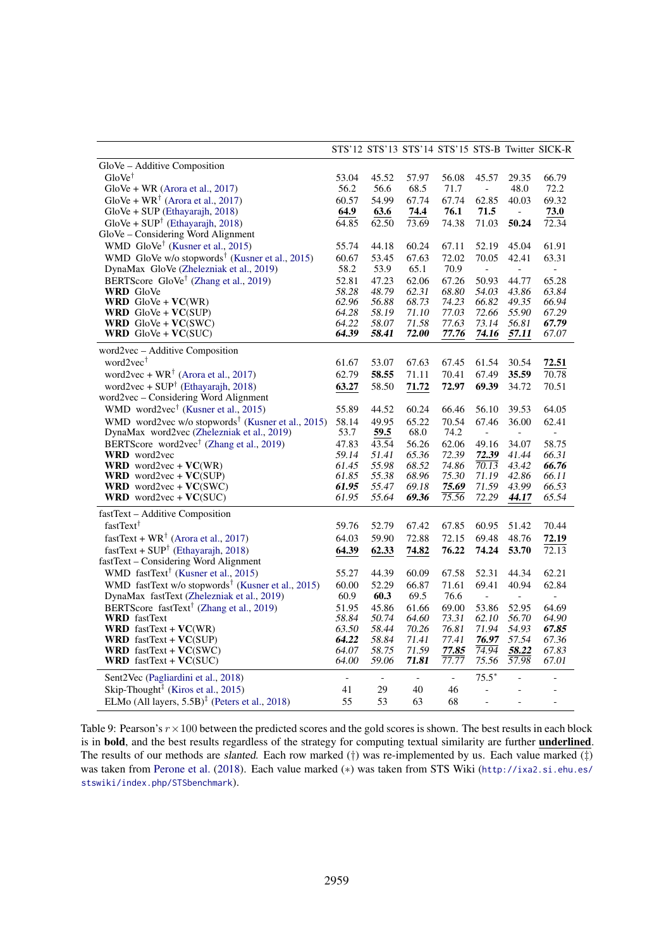<span id="page-15-0"></span>

|                                                                    |                          |                |                |                |                          |                             | STS'12 STS'13 STS'14 STS'15 STS-B Twitter SICK-R |
|--------------------------------------------------------------------|--------------------------|----------------|----------------|----------------|--------------------------|-----------------------------|--------------------------------------------------|
| GloVe - Additive Composition                                       |                          |                |                |                |                          |                             |                                                  |
| $GloVe^{\dagger}$                                                  | 53.04                    | 45.52          | 57.97          | 56.08          | 45.57                    | 29.35                       | 66.79                                            |
| $GloVe + WR$ (Arora et al., 2017)                                  | 56.2                     | 56.6           | 68.5           | 71.7           | $\equiv$                 | 48.0                        | 72.2                                             |
| GloVe + $WR^{\dagger}$ (Arora et al., 2017)                        | 60.57                    | 54.99          | 67.74          | 67.74          | 62.85                    | 40.03                       | 69.32                                            |
| $GloVe + SUP(Ethayarajh, 2018)$                                    | 64.9                     | 63.6           | 74.4           | 76.1           | 71.5                     | $\equiv$                    | 73.0                                             |
| $GloVe + SUP^{\dagger}$ (Ethayarajh, 2018)                         | 64.85                    | 62.50          | 73.69          | 74.38          | 71.03                    | 50.24                       | 72.34                                            |
| GloVe - Considering Word Alignment                                 |                          |                |                |                |                          |                             |                                                  |
| WMD GloVe <sup>†</sup> (Kusner et al., 2015)                       | 55.74                    | 44.18          | 60.24          | 67.11          | 52.19                    | 45.04                       | 61.91                                            |
| WMD GloVe w/o stopwords <sup>†</sup> (Kusner et al., 2015)         | 60.67                    | 53.45          | 67.63          | 72.02          | 70.05                    | 42.41                       | 63.31                                            |
| DynaMax GloVe (Zhelezniak et al., 2019)                            | 58.2                     | 53.9           | 65.1           | 70.9           | $\overline{\phantom{0}}$ | $\overline{\phantom{a}}$    | $\blacksquare$                                   |
| BERTScore GloVe <sup>†</sup> (Zhang et al., 2019)                  | 52.81                    | 47.23          | 62.06          | 67.26          | 50.93                    | 44.77                       | 65.28                                            |
| <b>WRD</b> GloVe                                                   | 58.28                    | 48.79          | 62.31          | 68.80          | 54.03                    | 43.86                       | 63.84                                            |
| <b>WRD</b> $GloVe + VC(WR)$                                        | 62.96                    | 56.88          | 68.73          | 74.23          | 66.82                    | 49.35                       | 66.94                                            |
| <b>WRD</b> $GloVe + VC(SUP)$                                       | 64.28                    | 58.19          | 71.10          | 77.03          | 72.66                    | 55.90                       | 67.29                                            |
| <b>WRD</b> $GloVe + VC(SWC)$                                       | 64.22                    | 58.07          | 71.58          | 77.63          | 73.14                    | 56.81                       | 67.79                                            |
| <b>WRD</b> $GloVe + VC(SUC)$                                       | 64.39                    | 58.41          | 72.00          | 77.76          | 74.16                    | 57.11                       | 67.07                                            |
| word2vec - Additive Composition                                    |                          |                |                |                |                          |                             |                                                  |
| word $2$ vec <sup>†</sup>                                          | 61.67                    | 53.07          | 67.63          | 67.45          | 61.54                    | 30.54                       | 72.51                                            |
| word2vec + $WR^{\dagger}$ (Arora et al., 2017)                     | 62.79                    | 58.55          | 71.11          | 70.41          | 67.49                    | 35.59                       | 70.78                                            |
| word2vec + $SUP†$ (Ethayarajh, 2018)                               | 63.27                    | 58.50          | 71.72          | 72.97          | 69.39                    | 34.72                       | 70.51                                            |
| word2vec - Considering Word Alignment                              |                          |                |                |                |                          |                             |                                                  |
| WMD word2vec <sup>†</sup> (Kusner et al., 2015)                    | 55.89                    | 44.52          | 60.24          | 66.46          | 56.10                    | 39.53                       | 64.05                                            |
| WMD word2vec w/o stopwords <sup>†</sup> (Kusner et al., 2015)      | 58.14                    | 49.95          | 65.22          | 70.54          | 67.46                    | 36.00                       | 62.41                                            |
| DynaMax word2vec (Zhelezniak et al., 2019)                         | 53.7                     | 59.5           | 68.0           | 74.2           | $\blacksquare$           | $\blacksquare$              | $\equiv$                                         |
| BERTScore word2vec <sup>†</sup> (Zhang et al., 2019)               | 47.83                    | 43.54          | 56.26          | 62.06          | 49.16                    | 34.07                       | 58.75                                            |
| <b>WRD</b> word2vec                                                | 59.14                    | 51.41          | 65.36          | 72.39          | 72.39                    | 41.44                       | 66.31                                            |
| <b>WRD</b> word2vec + $VC(WR)$                                     | 61.45                    | 55.98          | 68.52          | 74.86          | 70.13                    | 43.42                       | 66.76                                            |
| <b>WRD</b> word2vec + $VC(SUP)$                                    | 61.85                    | 55.38          | 68.96          | 75.30          | 71.19                    | 42.86                       | 66.11                                            |
| <b>WRD</b> word2vec + $VC(SWC)$                                    | 61.95                    | 55.47          | 69.18          | 75.69          | 71.59                    | 43.99                       | 66.53                                            |
| <b>WRD</b> word2vec + $VC(SUC)$                                    | 61.95                    | 55.64          | 69.36          | 75.56          | 72.29                    | 44.17                       | 65.54                                            |
| fastText - Additive Composition                                    |                          |                |                |                |                          |                             |                                                  |
| fastText <sup>†</sup>                                              | 59.76                    | 52.79          | 67.42          | 67.85          | 60.95                    | 51.42                       | 70.44                                            |
| fastText + $WR^{\dagger}$ (Arora et al., 2017)                     | 64.03                    | 59.90          | 72.88          | 72.15          | 69.48                    | 48.76                       | 72.19                                            |
| fastText + $SUP†$ (Ethayarajh, 2018)                               | 64.39                    | 62.33          | 74.82          | 76.22          | 74.24                    | 53.70                       | 72.13                                            |
| fastText - Considering Word Alignment                              |                          |                |                |                |                          |                             |                                                  |
| WMD fastText <sup>†</sup> (Kusner et al., 2015)                    | 55.27                    | 44.39          | 60.09          | 67.58          | 52.31                    | 44.34                       | 62.21                                            |
| WMD fastText w/o stopwords <sup>†</sup> (Kusner et al., 2015)      | 60.00                    | 52.29          | 66.87          | 71.61          | 69.41                    | 40.94                       | 62.84                                            |
| DynaMax fastText (Zhelezniak et al., 2019)                         | 60.9                     | 60.3           | 69.5           | 76.6           | $\Box$                   | $\mathcal{L}^{\mathcal{L}}$ | $\overline{\phantom{a}}$                         |
| BERTScore fastText <sup>†</sup> (Zhang et al., 2019)               | 51.95                    | 45.86          | 61.66          | 69.00          | 53.86                    | 52.95                       | 64.69                                            |
| <b>WRD</b> fastText                                                | 58.84                    | 50.74          | 64.60          | 73.31          | 62.10                    | 56.70                       | 64.90                                            |
| <b>WRD</b> fastText + $VC(WR)$                                     | 63.50                    | 58.44          | 70.26          | 76.81          | 71.94                    | 54.93                       | 67.85                                            |
| <b>WRD</b> fastText + $VC(SUP)$                                    | 64.22                    | 58.84          | 71.41          | 77.41          | 76.97                    | 57.54                       | 67.36                                            |
| <b>WRD</b> fastText + $VC(SWC)$                                    | 64.07                    | 58.75          | 71.59          | 77.85          | 74.94                    | 58.22                       | 67.83                                            |
| <b>WRD</b> fastText + $VC(SUC)$                                    | 64.00                    | 59.06          | 71.81          | 77.77          | 75.56                    | 57.98                       | 67.01                                            |
| Sent2Vec (Pagliardini et al., 2018)                                | $\overline{\phantom{m}}$ | $\blacksquare$ | $\blacksquare$ | $\blacksquare$ | $75.5*$                  |                             |                                                  |
| Skip-Thought <sup><math>\ddagger</math></sup> (Kiros et al., 2015) | 41                       | 29             | 40             | 46             | $\overline{\phantom{a}}$ |                             |                                                  |
| ELMo (All layers, $5.5B$ ) <sup>‡</sup> (Peters et al., 2018)      | 55                       | 53             | 63             | 68             | $\blacksquare$           |                             |                                                  |

Table 9: Pearson's  $r \times 100$  between the predicted scores and the gold scores is shown. The best results in each block is in bold, and the best results regardless of the strategy for computing textual similarity are further underlined. The results of our methods are slanted. Each row marked (†) was re-implemented by us. Each value marked (‡) was taken from [Perone et al.](#page-10-19) [\(2018\)](#page-10-19). Each value marked (\*) was taken from STS Wiki ([http://ixa2.si.ehu.es/](http://ixa2.si.ehu.es/stswiki/index.php/STSbenchmark) [stswiki/index.php/STSbenchmark](http://ixa2.si.ehu.es/stswiki/index.php/STSbenchmark)).